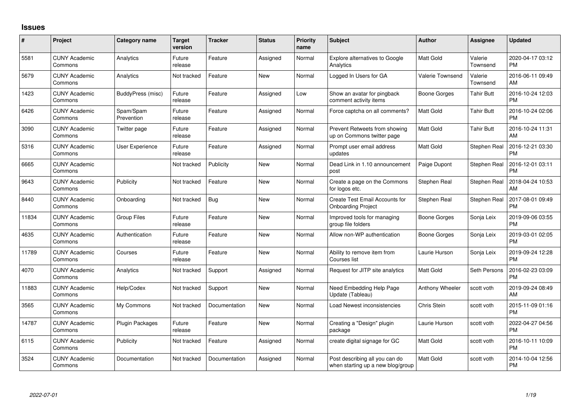## **Issues**

| $\#$  | Project                         | <b>Category name</b>     | Target<br>version | <b>Tracker</b> | <b>Status</b> | Priority<br>name | <b>Subject</b>                                                      | <b>Author</b>           | Assignee            | <b>Updated</b>                |
|-------|---------------------------------|--------------------------|-------------------|----------------|---------------|------------------|---------------------------------------------------------------------|-------------------------|---------------------|-------------------------------|
| 5581  | <b>CUNY Academic</b><br>Commons | Analytics                | Future<br>release | Feature        | Assigned      | Normal           | <b>Explore alternatives to Google</b><br>Analytics                  | Matt Gold               | Valerie<br>Townsend | 2020-04-17 03:12<br><b>PM</b> |
| 5679  | <b>CUNY Academic</b><br>Commons | Analytics                | Not tracked       | Feature        | New           | Normal           | Logged In Users for GA                                              | <b>Valerie Townsend</b> | Valerie<br>Townsend | 2016-06-11 09:49<br>AM        |
| 1423  | <b>CUNY Academic</b><br>Commons | <b>BuddyPress</b> (misc) | Future<br>release | Feature        | Assigned      | Low              | Show an avatar for pingback<br>comment activity items               | Boone Gorges            | <b>Tahir Butt</b>   | 2016-10-24 12:03<br><b>PM</b> |
| 6426  | <b>CUNY Academic</b><br>Commons | Spam/Spam<br>Prevention  | Future<br>release | Feature        | Assigned      | Normal           | Force captcha on all comments?                                      | <b>Matt Gold</b>        | Tahir Butt          | 2016-10-24 02:06<br><b>PM</b> |
| 3090  | <b>CUNY Academic</b><br>Commons | Twitter page             | Future<br>release | Feature        | Assigned      | Normal           | Prevent Retweets from showing<br>up on Commons twitter page         | <b>Matt Gold</b>        | <b>Tahir Butt</b>   | 2016-10-24 11:31<br>AM        |
| 5316  | <b>CUNY Academic</b><br>Commons | User Experience          | Future<br>release | Feature        | Assigned      | Normal           | Prompt user email address<br>updates                                | <b>Matt Gold</b>        | Stephen Real        | 2016-12-21 03:30<br><b>PM</b> |
| 6665  | <b>CUNY Academic</b><br>Commons |                          | Not tracked       | Publicity      | New           | Normal           | Dead Link in 1.10 announcement<br>post                              | Paige Dupont            | Stephen Real        | 2016-12-01 03:11<br><b>PM</b> |
| 9643  | <b>CUNY Academic</b><br>Commons | Publicity                | Not tracked       | Feature        | <b>New</b>    | Normal           | Create a page on the Commons<br>for logos etc.                      | Stephen Real            | Stephen Real        | 2018-04-24 10:53<br>AM        |
| 8440  | <b>CUNY Academic</b><br>Commons | Onboarding               | Not tracked       | Bug            | New           | Normal           | Create Test Email Accounts for<br><b>Onboarding Project</b>         | Stephen Real            | Stephen Real        | 2017-08-01 09:49<br><b>PM</b> |
| 11834 | <b>CUNY Academic</b><br>Commons | <b>Group Files</b>       | Future<br>release | Feature        | <b>New</b>    | Normal           | Improved tools for managing<br>group file folders                   | Boone Gorges            | Sonja Leix          | 2019-09-06 03:55<br><b>PM</b> |
| 4635  | <b>CUNY Academic</b><br>Commons | Authentication           | Future<br>release | Feature        | New           | Normal           | Allow non-WP authentication                                         | Boone Gorges            | Sonja Leix          | 2019-03-01 02:05<br><b>PM</b> |
| 11789 | <b>CUNY Academic</b><br>Commons | Courses                  | Future<br>release | Feature        | <b>New</b>    | Normal           | Ability to remove item from<br>Courses list                         | Laurie Hurson           | Sonja Leix          | 2019-09-24 12:28<br><b>PM</b> |
| 4070  | <b>CUNY Academic</b><br>Commons | Analytics                | Not tracked       | Support        | Assigned      | Normal           | Request for JITP site analytics                                     | <b>Matt Gold</b>        | Seth Persons        | 2016-02-23 03:09<br><b>PM</b> |
| 11883 | <b>CUNY Academic</b><br>Commons | Help/Codex               | Not tracked       | Support        | <b>New</b>    | Normal           | Need Embedding Help Page<br>Update (Tableau)                        | Anthony Wheeler         | scott voth          | 2019-09-24 08:49<br>AM        |
| 3565  | <b>CUNY Academic</b><br>Commons | My Commons               | Not tracked       | Documentation  | New           | Normal           | Load Newest inconsistencies                                         | Chris Stein             | scott voth          | 2015-11-09 01:16<br><b>PM</b> |
| 14787 | <b>CUNY Academic</b><br>Commons | Plugin Packages          | Future<br>release | Feature        | <b>New</b>    | Normal           | Creating a "Design" plugin<br>package                               | Laurie Hurson           | scott voth          | 2022-04-27 04:56<br><b>PM</b> |
| 6115  | <b>CUNY Academic</b><br>Commons | Publicity                | Not tracked       | Feature        | Assigned      | Normal           | create digital signage for GC                                       | Matt Gold               | scott voth          | 2016-10-11 10:09<br><b>PM</b> |
| 3524  | CUNY Academic<br>Commons        | Documentation            | Not tracked       | Documentation  | Assigned      | Normal           | Post describing all you can do<br>when starting up a new blog/group | Matt Gold               | scott voth          | 2014-10-04 12:56<br><b>PM</b> |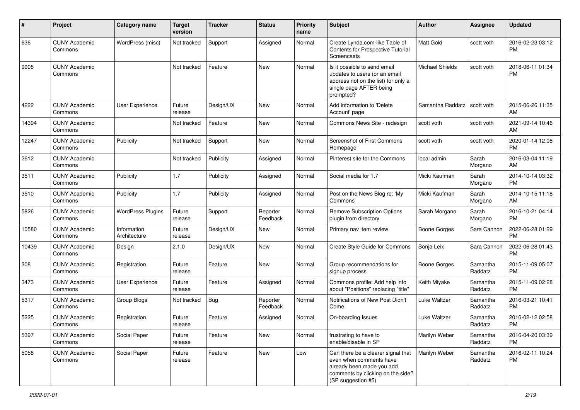| #     | Project                         | Category name               | <b>Target</b><br>version | <b>Tracker</b> | <b>Status</b>        | <b>Priority</b><br>name | Subject                                                                                                                                               | Author                 | <b>Assignee</b>     | <b>Updated</b>                |
|-------|---------------------------------|-----------------------------|--------------------------|----------------|----------------------|-------------------------|-------------------------------------------------------------------------------------------------------------------------------------------------------|------------------------|---------------------|-------------------------------|
| 636   | <b>CUNY Academic</b><br>Commons | WordPress (misc)            | Not tracked              | Support        | Assigned             | Normal                  | Create Lynda.com-like Table of<br>Contents for Prospective Tutorial<br><b>Screencasts</b>                                                             | <b>Matt Gold</b>       | scott voth          | 2016-02-23 03:12<br><b>PM</b> |
| 9908  | <b>CUNY Academic</b><br>Commons |                             | Not tracked              | Feature        | <b>New</b>           | Normal                  | Is it possible to send email<br>updates to users (or an email<br>address not on the list) for only a<br>single page AFTER being<br>prompted?          | <b>Michael Shields</b> | scott voth          | 2018-06-11 01:34<br><b>PM</b> |
| 4222  | <b>CUNY Academic</b><br>Commons | User Experience             | Future<br>release        | Design/UX      | New                  | Normal                  | Add information to 'Delete<br>Account' page                                                                                                           | Samantha Raddatz       | scott voth          | 2015-06-26 11:35<br>AM        |
| 14394 | <b>CUNY Academic</b><br>Commons |                             | Not tracked              | Feature        | <b>New</b>           | Normal                  | Commons News Site - redesign                                                                                                                          | scott voth             | scott voth          | 2021-09-14 10:46<br>AM        |
| 12247 | <b>CUNY Academic</b><br>Commons | Publicity                   | Not tracked              | Support        | <b>New</b>           | Normal                  | <b>Screenshot of First Commons</b><br>Homepage                                                                                                        | scott voth             | scott voth          | 2020-01-14 12:08<br><b>PM</b> |
| 2612  | <b>CUNY Academic</b><br>Commons |                             | Not tracked              | Publicity      | Assigned             | Normal                  | Pinterest site for the Commons                                                                                                                        | local admin            | Sarah<br>Morgano    | 2016-03-04 11:19<br>AM        |
| 3511  | <b>CUNY Academic</b><br>Commons | Publicity                   | 1.7                      | Publicity      | Assigned             | Normal                  | Social media for 1.7                                                                                                                                  | Micki Kaufman          | Sarah<br>Morgano    | 2014-10-14 03:32<br><b>PM</b> |
| 3510  | <b>CUNY Academic</b><br>Commons | Publicity                   | 1.7                      | Publicity      | Assigned             | Normal                  | Post on the News Blog re: 'My<br>Commons'                                                                                                             | Micki Kaufman          | Sarah<br>Morgano    | 2014-10-15 11:18<br>AM        |
| 5826  | <b>CUNY Academic</b><br>Commons | <b>WordPress Plugins</b>    | Future<br>release        | Support        | Reporter<br>Feedback | Normal                  | Remove Subscription Options<br>plugin from directory                                                                                                  | Sarah Morgano          | Sarah<br>Morgano    | 2016-10-21 04:14<br><b>PM</b> |
| 10580 | <b>CUNY Academic</b><br>Commons | Information<br>Architecture | Future<br>release        | Design/UX      | New                  | Normal                  | Primary nav item review                                                                                                                               | <b>Boone Gorges</b>    | Sara Cannon         | 2022-06-28 01:29<br><b>PM</b> |
| 10439 | <b>CUNY Academic</b><br>Commons | Design                      | 2.1.0                    | Design/UX      | <b>New</b>           | Normal                  | Create Style Guide for Commons                                                                                                                        | Sonja Leix             | Sara Cannon         | 2022-06-28 01:43<br><b>PM</b> |
| 308   | <b>CUNY Academic</b><br>Commons | Registration                | Future<br>release        | Feature        | <b>New</b>           | Normal                  | Group recommendations for<br>signup process                                                                                                           | <b>Boone Gorges</b>    | Samantha<br>Raddatz | 2015-11-09 05:07<br><b>PM</b> |
| 3473  | <b>CUNY Academic</b><br>Commons | User Experience             | Future<br>release        | Feature        | Assigned             | Normal                  | Commons profile: Add help info<br>about "Positions" replacing "title"                                                                                 | Keith Miyake           | Samantha<br>Raddatz | 2015-11-09 02:28<br><b>PM</b> |
| 5317  | <b>CUNY Academic</b><br>Commons | <b>Group Blogs</b>          | Not tracked              | <b>Bug</b>     | Reporter<br>Feedback | Normal                  | Notifications of New Post Didn't<br>Come                                                                                                              | Luke Waltzer           | Samantha<br>Raddatz | 2016-03-21 10:41<br><b>PM</b> |
| 5225  | <b>CUNY Academic</b><br>Commons | Registration                | Future<br>release        | Feature        | Assigned             | Normal                  | On-boarding Issues                                                                                                                                    | Luke Waltzer           | Samantha<br>Raddatz | 2016-02-12 02:58<br><b>PM</b> |
| 5397  | <b>CUNY Academic</b><br>Commons | Social Paper                | Future<br>release        | Feature        | New                  | Normal                  | frustrating to have to<br>enable/disable in SP                                                                                                        | Marilyn Weber          | Samantha<br>Raddatz | 2016-04-20 03:39<br><b>PM</b> |
| 5058  | <b>CUNY Academic</b><br>Commons | Social Paper                | Future<br>release        | Feature        | New                  | Low                     | Can there be a clearer signal that<br>even when comments have<br>already been made you add<br>comments by clicking on the side?<br>(SP suggestion #5) | Marilyn Weber          | Samantha<br>Raddatz | 2016-02-11 10:24<br><b>PM</b> |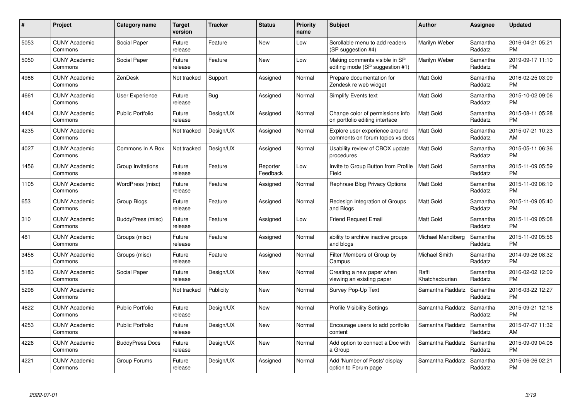| $\#$ | Project                         | <b>Category name</b>    | Target<br>version | <b>Tracker</b> | <b>Status</b>        | Priority<br>name | <b>Subject</b>                                                     | <b>Author</b>           | <b>Assignee</b>     | <b>Updated</b>                |
|------|---------------------------------|-------------------------|-------------------|----------------|----------------------|------------------|--------------------------------------------------------------------|-------------------------|---------------------|-------------------------------|
| 5053 | <b>CUNY Academic</b><br>Commons | Social Paper            | Future<br>release | Feature        | <b>New</b>           | Low              | Scrollable menu to add readers<br>(SP suggestion #4)               | Marilyn Weber           | Samantha<br>Raddatz | 2016-04-21 05:21<br><b>PM</b> |
| 5050 | <b>CUNY Academic</b><br>Commons | Social Paper            | Future<br>release | Feature        | <b>New</b>           | Low              | Making comments visible in SP<br>editing mode (SP suggestion #1)   | Marilyn Weber           | Samantha<br>Raddatz | 2019-09-17 11:10<br><b>PM</b> |
| 4986 | <b>CUNY Academic</b><br>Commons | ZenDesk                 | Not tracked       | Support        | Assigned             | Normal           | Prepare documentation for<br>Zendesk re web widget                 | Matt Gold               | Samantha<br>Raddatz | 2016-02-25 03:09<br><b>PM</b> |
| 4661 | <b>CUNY Academic</b><br>Commons | User Experience         | Future<br>release | <b>Bug</b>     | Assigned             | Normal           | Simplify Events text                                               | Matt Gold               | Samantha<br>Raddatz | 2015-10-02 09:06<br><b>PM</b> |
| 4404 | <b>CUNY Academic</b><br>Commons | <b>Public Portfolio</b> | Future<br>release | Design/UX      | Assigned             | Normal           | Change color of permissions info<br>on portfolio editing interface | <b>Matt Gold</b>        | Samantha<br>Raddatz | 2015-08-11 05:28<br><b>PM</b> |
| 4235 | <b>CUNY Academic</b><br>Commons |                         | Not tracked       | Design/UX      | Assigned             | Normal           | Explore user experience around<br>comments on forum topics vs docs | <b>Matt Gold</b>        | Samantha<br>Raddatz | 2015-07-21 10:23<br>AM        |
| 4027 | <b>CUNY Academic</b><br>Commons | Commons In A Box        | Not tracked       | Design/UX      | Assigned             | Normal           | Usability review of CBOX update<br>procedures                      | Matt Gold               | Samantha<br>Raddatz | 2015-05-11 06:36<br><b>PM</b> |
| 1456 | <b>CUNY Academic</b><br>Commons | Group Invitations       | Future<br>release | Feature        | Reporter<br>Feedback | Low              | Invite to Group Button from Profile<br>Field                       | <b>Matt Gold</b>        | Samantha<br>Raddatz | 2015-11-09 05:59<br><b>PM</b> |
| 1105 | <b>CUNY Academic</b><br>Commons | WordPress (misc)        | Future<br>release | Feature        | Assigned             | Normal           | Rephrase Blog Privacy Options                                      | Matt Gold               | Samantha<br>Raddatz | 2015-11-09 06:19<br><b>PM</b> |
| 653  | <b>CUNY Academic</b><br>Commons | Group Blogs             | Future<br>release | Feature        | Assigned             | Normal           | Redesign Integration of Groups<br>and Blogs                        | <b>Matt Gold</b>        | Samantha<br>Raddatz | 2015-11-09 05:40<br><b>PM</b> |
| 310  | <b>CUNY Academic</b><br>Commons | BuddyPress (misc)       | Future<br>release | Feature        | Assigned             | Low              | <b>Friend Request Email</b>                                        | Matt Gold               | Samantha<br>Raddatz | 2015-11-09 05:08<br><b>PM</b> |
| 481  | <b>CUNY Academic</b><br>Commons | Groups (misc)           | Future<br>release | Feature        | Assigned             | Normal           | ability to archive inactive groups<br>and blogs                    | Michael Mandiberg       | Samantha<br>Raddatz | 2015-11-09 05:56<br><b>PM</b> |
| 3458 | <b>CUNY Academic</b><br>Commons | Groups (misc)           | Future<br>release | Feature        | Assigned             | Normal           | Filter Members of Group by<br>Campus                               | Michael Smith           | Samantha<br>Raddatz | 2014-09-26 08:32<br><b>PM</b> |
| 5183 | <b>CUNY Academic</b><br>Commons | Social Paper            | Future<br>release | Design/UX      | New                  | Normal           | Creating a new paper when<br>viewing an existing paper             | Raffi<br>Khatchadourian | Samantha<br>Raddatz | 2016-02-02 12:09<br><b>PM</b> |
| 5298 | <b>CUNY Academic</b><br>Commons |                         | Not tracked       | Publicity      | <b>New</b>           | Normal           | Survey Pop-Up Text                                                 | Samantha Raddatz        | Samantha<br>Raddatz | 2016-03-22 12:27<br><b>PM</b> |
| 4622 | <b>CUNY Academic</b><br>Commons | <b>Public Portfolio</b> | Future<br>release | Design/UX      | New                  | Normal           | <b>Profile Visibility Settings</b>                                 | Samantha Raddatz        | Samantha<br>Raddatz | 2015-09-21 12:18<br><b>PM</b> |
| 4253 | <b>CUNY Academic</b><br>Commons | <b>Public Portfolio</b> | Future<br>release | Design/UX      | New                  | Normal           | Encourage users to add portfolio<br>content                        | Samantha Raddatz        | Samantha<br>Raddatz | 2015-07-07 11:32<br>AM        |
| 4226 | <b>CUNY Academic</b><br>Commons | <b>BuddyPress Docs</b>  | Future<br>release | Design/UX      | New                  | Normal           | Add option to connect a Doc with<br>a Group                        | Samantha Raddatz        | Samantha<br>Raddatz | 2015-09-09 04:08<br><b>PM</b> |
| 4221 | CUNY Academic<br>Commons        | Group Forums            | Future<br>release | Design/UX      | Assigned             | Normal           | Add 'Number of Posts' display<br>option to Forum page              | Samantha Raddatz        | Samantha<br>Raddatz | 2015-06-26 02:21<br><b>PM</b> |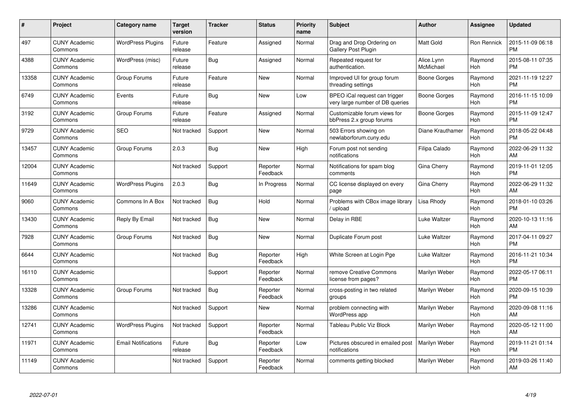| #     | <b>Project</b>                  | Category name              | <b>Target</b><br>version | <b>Tracker</b> | <b>Status</b>        | <b>Priority</b><br>name | <b>Subject</b>                                                   | <b>Author</b>           | Assignee       | <b>Updated</b>                |
|-------|---------------------------------|----------------------------|--------------------------|----------------|----------------------|-------------------------|------------------------------------------------------------------|-------------------------|----------------|-------------------------------|
| 497   | <b>CUNY Academic</b><br>Commons | <b>WordPress Plugins</b>   | Future<br>release        | Feature        | Assigned             | Normal                  | Drag and Drop Ordering on<br><b>Gallery Post Plugin</b>          | <b>Matt Gold</b>        | Ron Rennick    | 2015-11-09 06:18<br><b>PM</b> |
| 4388  | <b>CUNY Academic</b><br>Commons | WordPress (misc)           | Future<br>release        | Bug            | Assigned             | Normal                  | Repeated request for<br>authentication.                          | Alice.Lynn<br>McMichael | Raymond<br>Hoh | 2015-08-11 07:35<br><b>PM</b> |
| 13358 | <b>CUNY Academic</b><br>Commons | Group Forums               | Future<br>release        | Feature        | <b>New</b>           | Normal                  | Improved UI for group forum<br>threading settings                | Boone Gorges            | Raymond<br>Hoh | 2021-11-19 12:27<br><b>PM</b> |
| 6749  | <b>CUNY Academic</b><br>Commons | Events                     | Future<br>release        | Bug            | <b>New</b>           | Low                     | BPEO iCal request can trigger<br>very large number of DB queries | Boone Gorges            | Raymond<br>Hoh | 2016-11-15 10:09<br><b>PM</b> |
| 3192  | <b>CUNY Academic</b><br>Commons | Group Forums               | Future<br>release        | Feature        | Assigned             | Normal                  | Customizable forum views for<br>bbPress 2.x group forums         | <b>Boone Gorges</b>     | Raymond<br>Hoh | 2015-11-09 12:47<br><b>PM</b> |
| 9729  | <b>CUNY Academic</b><br>Commons | <b>SEO</b>                 | Not tracked              | Support        | <b>New</b>           | Normal                  | 503 Errors showing on<br>newlaborforum.cuny.edu                  | Diane Krauthamer        | Raymond<br>Hoh | 2018-05-22 04:48<br><b>PM</b> |
| 13457 | <b>CUNY Academic</b><br>Commons | Group Forums               | 2.0.3                    | <b>Bug</b>     | <b>New</b>           | High                    | Forum post not sending<br>notifications                          | Filipa Calado           | Raymond<br>Hoh | 2022-06-29 11:32<br>AM        |
| 12004 | <b>CUNY Academic</b><br>Commons |                            | Not tracked              | Support        | Reporter<br>Feedback | Normal                  | Notifications for spam blog<br>comments                          | Gina Cherry             | Raymond<br>Hoh | 2019-11-01 12:05<br><b>PM</b> |
| 11649 | <b>CUNY Academic</b><br>Commons | <b>WordPress Plugins</b>   | 2.0.3                    | <b>Bug</b>     | In Progress          | Normal                  | CC license displayed on every<br>page                            | Gina Cherry             | Raymond<br>Hoh | 2022-06-29 11:32<br>AM        |
| 9060  | <b>CUNY Academic</b><br>Commons | Commons In A Box           | Not tracked              | Bug            | Hold                 | Normal                  | Problems with CBox image library<br>/ upload                     | Lisa Rhody              | Raymond<br>Hoh | 2018-01-10 03:26<br><b>PM</b> |
| 13430 | <b>CUNY Academic</b><br>Commons | Reply By Email             | Not tracked              | Bug            | New                  | Normal                  | Delay in RBE                                                     | Luke Waltzer            | Raymond<br>Hoh | 2020-10-13 11:16<br>AM        |
| 7928  | <b>CUNY Academic</b><br>Commons | Group Forums               | Not tracked              | Bug            | New                  | Normal                  | Duplicate Forum post                                             | Luke Waltzer            | Raymond<br>Hoh | 2017-04-11 09:27<br><b>PM</b> |
| 6644  | <b>CUNY Academic</b><br>Commons |                            | Not tracked              | <b>Bug</b>     | Reporter<br>Feedback | High                    | White Screen at Login Pge                                        | Luke Waltzer            | Raymond<br>Hoh | 2016-11-21 10:34<br><b>PM</b> |
| 16110 | <b>CUNY Academic</b><br>Commons |                            |                          | Support        | Reporter<br>Feedback | Normal                  | remove Creative Commons<br>license from pages?                   | Marilyn Weber           | Raymond<br>Hoh | 2022-05-17 06:11<br><b>PM</b> |
| 13328 | <b>CUNY Academic</b><br>Commons | Group Forums               | Not tracked              | <b>Bug</b>     | Reporter<br>Feedback | Normal                  | cross-posting in two related<br>groups                           | Marilyn Weber           | Raymond<br>Hoh | 2020-09-15 10:39<br><b>PM</b> |
| 13286 | <b>CUNY Academic</b><br>Commons |                            | Not tracked              | Support        | New                  | Normal                  | problem connecting with<br>WordPress app                         | Marilyn Weber           | Raymond<br>Hoh | 2020-09-08 11:16<br>AM        |
| 12741 | <b>CUNY Academic</b><br>Commons | <b>WordPress Plugins</b>   | Not tracked              | Support        | Reporter<br>Feedback | Normal                  | Tableau Public Viz Block                                         | Marilyn Weber           | Raymond<br>Hoh | 2020-05-12 11:00<br>AM        |
| 11971 | <b>CUNY Academic</b><br>Commons | <b>Email Notifications</b> | Future<br>release        | Bug            | Reporter<br>Feedback | Low                     | Pictures obscured in emailed post<br>notifications               | Marilyn Weber           | Raymond<br>Hoh | 2019-11-21 01:14<br><b>PM</b> |
| 11149 | <b>CUNY Academic</b><br>Commons |                            | Not tracked              | Support        | Reporter<br>Feedback | Normal                  | comments getting blocked                                         | Marilyn Weber           | Raymond<br>Hoh | 2019-03-26 11:40<br>AM        |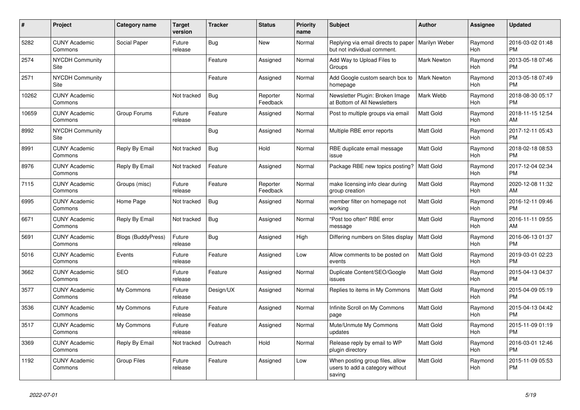| #     | <b>Project</b>                  | Category name             | <b>Target</b><br>version | <b>Tracker</b> | <b>Status</b>        | <b>Priority</b><br>name | <b>Subject</b>                                                               | <b>Author</b>      | Assignee              | <b>Updated</b>                |
|-------|---------------------------------|---------------------------|--------------------------|----------------|----------------------|-------------------------|------------------------------------------------------------------------------|--------------------|-----------------------|-------------------------------|
| 5282  | <b>CUNY Academic</b><br>Commons | Social Paper              | Future<br>release        | Bug            | New                  | Normal                  | Replying via email directs to paper<br>but not individual comment.           | Marilyn Weber      | Raymond<br>Hoh        | 2016-03-02 01:48<br><b>PM</b> |
| 2574  | <b>NYCDH Community</b><br>Site  |                           |                          | Feature        | Assigned             | Normal                  | Add Way to Upload Files to<br>Groups                                         | <b>Mark Newton</b> | Raymond<br>Hoh        | 2013-05-18 07:46<br><b>PM</b> |
| 2571  | <b>NYCDH Community</b><br>Site  |                           |                          | Feature        | Assigned             | Normal                  | Add Google custom search box to<br>homepage                                  | <b>Mark Newton</b> | Raymond<br>Hoh        | 2013-05-18 07:49<br><b>PM</b> |
| 10262 | <b>CUNY Academic</b><br>Commons |                           | Not tracked              | Bug            | Reporter<br>Feedback | Normal                  | Newsletter Plugin: Broken Image<br>at Bottom of All Newsletters              | Mark Webb          | Raymond<br>Hoh        | 2018-08-30 05:17<br><b>PM</b> |
| 10659 | <b>CUNY Academic</b><br>Commons | Group Forums              | Future<br>release        | Feature        | Assigned             | Normal                  | Post to multiple groups via email                                            | <b>Matt Gold</b>   | Raymond<br>Hoh        | 2018-11-15 12:54<br>AM        |
| 8992  | <b>NYCDH Community</b><br>Site  |                           |                          | Bug            | Assigned             | Normal                  | Multiple RBE error reports                                                   | <b>Matt Gold</b>   | Raymond<br>Hoh        | 2017-12-11 05:43<br><b>PM</b> |
| 8991  | <b>CUNY Academic</b><br>Commons | Reply By Email            | Not tracked              | Bug            | Hold                 | Normal                  | RBE duplicate email message<br>issue                                         | <b>Matt Gold</b>   | Raymond<br>Hoh        | 2018-02-18 08:53<br><b>PM</b> |
| 8976  | <b>CUNY Academic</b><br>Commons | Reply By Email            | Not tracked              | Feature        | Assigned             | Normal                  | Package RBE new topics posting?                                              | <b>Matt Gold</b>   | Raymond<br>Hoh        | 2017-12-04 02:34<br><b>PM</b> |
| 7115  | <b>CUNY Academic</b><br>Commons | Groups (misc)             | Future<br>release        | Feature        | Reporter<br>Feedback | Normal                  | make licensing info clear during<br>group creation                           | <b>Matt Gold</b>   | Raymond<br>Hoh        | 2020-12-08 11:32<br>AM        |
| 6995  | <b>CUNY Academic</b><br>Commons | Home Page                 | Not tracked              | Bug            | Assigned             | Normal                  | member filter on homepage not<br>working                                     | Matt Gold          | Raymond<br>Hoh        | 2016-12-11 09:46<br><b>PM</b> |
| 6671  | <b>CUNY Academic</b><br>Commons | Reply By Email            | Not tracked              | Bug            | Assigned             | Normal                  | "Post too often" RBE error<br>message                                        | Matt Gold          | Raymond<br>Hoh        | 2016-11-11 09:55<br>AM        |
| 5691  | <b>CUNY Academic</b><br>Commons | <b>Blogs (BuddyPress)</b> | Future<br>release        | <b>Bug</b>     | Assigned             | High                    | Differing numbers on Sites display                                           | <b>Matt Gold</b>   | Raymond<br>Hoh        | 2016-06-13 01:37<br><b>PM</b> |
| 5016  | <b>CUNY Academic</b><br>Commons | Events                    | Future<br>release        | Feature        | Assigned             | Low                     | Allow comments to be posted on<br>events                                     | <b>Matt Gold</b>   | Raymond<br>Hoh        | 2019-03-01 02:23<br><b>PM</b> |
| 3662  | <b>CUNY Academic</b><br>Commons | <b>SEO</b>                | Future<br>release        | Feature        | Assigned             | Normal                  | Duplicate Content/SEO/Google<br>issues                                       | Matt Gold          | Raymond<br>Hoh        | 2015-04-13 04:37<br><b>PM</b> |
| 3577  | <b>CUNY Academic</b><br>Commons | My Commons                | Future<br>release        | Design/UX      | Assigned             | Normal                  | Replies to items in My Commons                                               | <b>Matt Gold</b>   | Raymond<br>Hoh        | 2015-04-09 05:19<br><b>PM</b> |
| 3536  | <b>CUNY Academic</b><br>Commons | My Commons                | Future<br>release        | Feature        | Assigned             | Normal                  | Infinite Scroll on My Commons<br>page                                        | <b>Matt Gold</b>   | Raymond<br>Hoh        | 2015-04-13 04:42<br><b>PM</b> |
| 3517  | <b>CUNY Academic</b><br>Commons | My Commons                | Future<br>release        | Feature        | Assigned             | Normal                  | Mute/Unmute My Commons<br>updates                                            | Matt Gold          | Raymond<br>Hoh        | 2015-11-09 01:19<br><b>PM</b> |
| 3369  | <b>CUNY Academic</b><br>Commons | Reply By Email            | Not tracked              | Outreach       | Hold                 | Normal                  | Release reply by email to WP<br>plugin directory                             | <b>Matt Gold</b>   | Raymond<br>Hoh        | 2016-03-01 12:46<br><b>PM</b> |
| 1192  | <b>CUNY Academic</b><br>Commons | Group Files               | Future<br>release        | Feature        | Assigned             | Low                     | When posting group files, allow<br>users to add a category without<br>saving | Matt Gold          | Raymond<br><b>Hoh</b> | 2015-11-09 05:53<br><b>PM</b> |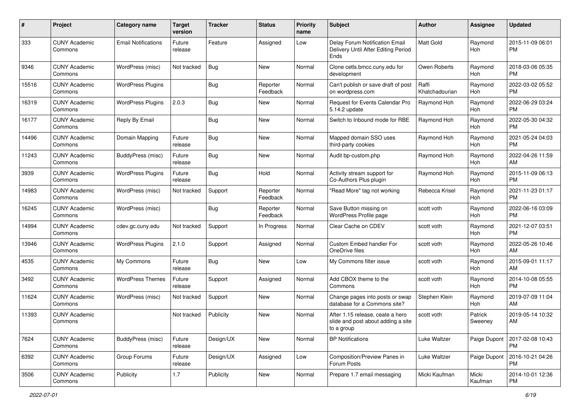| #     | Project                         | <b>Category name</b>       | <b>Target</b><br>version | <b>Tracker</b> | <b>Status</b>        | Priority<br>name | <b>Subject</b>                                                                       | Author                  | <b>Assignee</b>    | <b>Updated</b>                |
|-------|---------------------------------|----------------------------|--------------------------|----------------|----------------------|------------------|--------------------------------------------------------------------------------------|-------------------------|--------------------|-------------------------------|
| 333   | <b>CUNY Academic</b><br>Commons | <b>Email Notifications</b> | Future<br>release        | Feature        | Assigned             | Low              | Delay Forum Notification Email<br>Delivery Until After Editing Period<br>Ends        | <b>Matt Gold</b>        | Raymond<br>Hoh     | 2015-11-09 06:01<br><b>PM</b> |
| 9346  | <b>CUNY Academic</b><br>Commons | WordPress (misc)           | Not tracked              | Bug            | New                  | Normal           | Clone cetls.bmcc.cuny.edu for<br>development                                         | Owen Roberts            | Raymond<br>Hoh     | 2018-03-06 05:35<br><b>PM</b> |
| 15516 | <b>CUNY Academic</b><br>Commons | <b>WordPress Plugins</b>   |                          | <b>Bug</b>     | Reporter<br>Feedback | Normal           | Can't publish or save draft of post<br>on wordpress.com                              | Raffi<br>Khatchadourian | Raymond<br>Hoh     | 2022-03-02 05:52<br><b>PM</b> |
| 16319 | <b>CUNY Academic</b><br>Commons | <b>WordPress Plugins</b>   | 2.0.3                    | Bug            | New                  | Normal           | Request for Events Calendar Pro<br>5.14.2 update                                     | Raymond Hoh             | Raymond<br>Hoh     | 2022-06-29 03:24<br><b>PM</b> |
| 16177 | <b>CUNY Academic</b><br>Commons | Reply By Email             |                          | Bug            | <b>New</b>           | Normal           | Switch to Inbound mode for RBE                                                       | Raymond Hoh             | Raymond<br>Hoh     | 2022-05-30 04:32<br><b>PM</b> |
| 14496 | <b>CUNY Academic</b><br>Commons | Domain Mapping             | Future<br>release        | Bug            | <b>New</b>           | Normal           | Mapped domain SSO uses<br>third-party cookies                                        | Raymond Hoh             | Raymond<br>Hoh     | 2021-05-24 04:03<br><b>PM</b> |
| 11243 | <b>CUNY Academic</b><br>Commons | BuddyPress (misc)          | Future<br>release        | Bug            | New                  | Normal           | Audit bp-custom.php                                                                  | Raymond Hoh             | Raymond<br>Hoh     | 2022-04-26 11:59<br>AM        |
| 3939  | <b>CUNY Academic</b><br>Commons | <b>WordPress Plugins</b>   | Future<br>release        | Bug            | Hold                 | Normal           | Activity stream support for<br>Co-Authors Plus plugin                                | Raymond Hoh             | Raymond<br>Hoh     | 2015-11-09 06:13<br><b>PM</b> |
| 14983 | <b>CUNY Academic</b><br>Commons | WordPress (misc)           | Not tracked              | Support        | Reporter<br>Feedback | Normal           | "Read More" tag not working                                                          | Rebecca Krisel          | Raymond<br>Hoh     | 2021-11-23 01:17<br><b>PM</b> |
| 16245 | <b>CUNY Academic</b><br>Commons | WordPress (misc)           |                          | Bug            | Reporter<br>Feedback | Normal           | Save Button missing on<br>WordPress Profile page                                     | scott voth              | Raymond<br>Hoh     | 2022-06-16 03:09<br><b>PM</b> |
| 14994 | <b>CUNY Academic</b><br>Commons | cdev.gc.cuny.edu           | Not tracked              | Support        | In Progress          | Normal           | Clear Cache on CDEV                                                                  | scott voth              | Raymond<br>Hoh     | 2021-12-07 03:51<br><b>PM</b> |
| 13946 | <b>CUNY Academic</b><br>Commons | <b>WordPress Plugins</b>   | 2.1.0                    | Support        | Assigned             | Normal           | Custom Embed handler For<br>OneDrive files                                           | scott voth              | Raymond<br>Hoh     | 2022-05-26 10:46<br>AM        |
| 4535  | <b>CUNY Academic</b><br>Commons | My Commons                 | Future<br>release        | <b>Bug</b>     | <b>New</b>           | Low              | My Commons filter issue                                                              | scott voth              | Raymond<br>Hoh     | 2015-09-01 11:17<br>AM        |
| 3492  | <b>CUNY Academic</b><br>Commons | <b>WordPress Themes</b>    | Future<br>release        | Support        | Assigned             | Normal           | Add CBOX theme to the<br>Commons                                                     | scott voth              | Raymond<br>Hoh     | 2014-10-08 05:55<br><b>PM</b> |
| 11624 | <b>CUNY Academic</b><br>Commons | WordPress (misc)           | Not tracked              | Support        | New                  | Normal           | Change pages into posts or swap<br>database for a Commons site?                      | Stephen Klein           | Raymond<br>Hoh     | 2019-07-09 11:04<br>AM        |
| 11393 | <b>CUNY Academic</b><br>Commons |                            | Not tracked              | Publicity      | New                  | Normal           | After 1.15 release, ceate a hero<br>slide and post about adding a site<br>to a group | scott voth              | Patrick<br>Sweeney | 2019-05-14 10:32<br>AM        |
| 7624  | <b>CUNY Academic</b><br>Commons | <b>BuddyPress</b> (misc)   | Future<br>release        | Design/UX      | New                  | Normal           | <b>BP Notifications</b>                                                              | Luke Waltzer            | Paige Dupont       | 2017-02-08 10:43<br><b>PM</b> |
| 6392  | <b>CUNY Academic</b><br>Commons | Group Forums               | Future<br>release        | Design/UX      | Assigned             | Low              | Composition/Preview Panes in<br>Forum Posts                                          | Luke Waltzer            | Paige Dupont       | 2016-10-21 04:26<br><b>PM</b> |
| 3506  | <b>CUNY Academic</b><br>Commons | Publicity                  | $1.7$                    | Publicity      | New                  | Normal           | Prepare 1.7 email messaging                                                          | Micki Kaufman           | Micki<br>Kaufman   | 2014-10-01 12:36<br><b>PM</b> |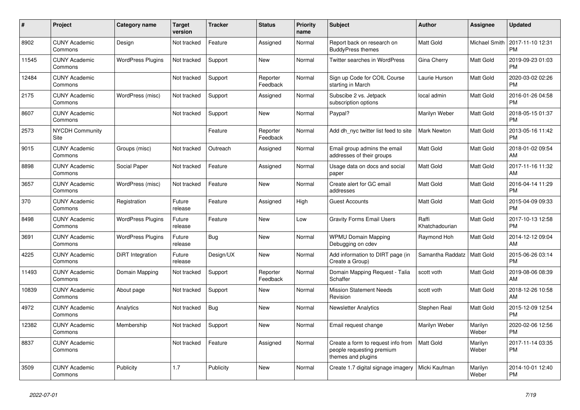| #     | <b>Project</b>                  | Category name            | <b>Target</b><br>version | <b>Tracker</b> | <b>Status</b>        | Priority<br>name | <b>Subject</b>                                                                        | <b>Author</b>           | Assignee             | <b>Updated</b>                |
|-------|---------------------------------|--------------------------|--------------------------|----------------|----------------------|------------------|---------------------------------------------------------------------------------------|-------------------------|----------------------|-------------------------------|
| 8902  | <b>CUNY Academic</b><br>Commons | Design                   | Not tracked              | Feature        | Assigned             | Normal           | Report back on research on<br><b>BuddyPress themes</b>                                | <b>Matt Gold</b>        | <b>Michael Smith</b> | 2017-11-10 12:31<br><b>PM</b> |
| 11545 | <b>CUNY Academic</b><br>Commons | <b>WordPress Plugins</b> | Not tracked              | Support        | <b>New</b>           | Normal           | <b>Twitter searches in WordPress</b>                                                  | Gina Cherry             | <b>Matt Gold</b>     | 2019-09-23 01:03<br><b>PM</b> |
| 12484 | <b>CUNY Academic</b><br>Commons |                          | Not tracked              | Support        | Reporter<br>Feedback | Normal           | Sign up Code for COIL Course<br>starting in March                                     | Laurie Hurson           | Matt Gold            | 2020-03-02 02:26<br><b>PM</b> |
| 2175  | <b>CUNY Academic</b><br>Commons | WordPress (misc)         | Not tracked              | Support        | Assigned             | Normal           | Subscibe 2 vs. Jetpack<br>subscription options                                        | local admin             | <b>Matt Gold</b>     | 2016-01-26 04:58<br><b>PM</b> |
| 8607  | <b>CUNY Academic</b><br>Commons |                          | Not tracked              | Support        | <b>New</b>           | Normal           | Paypal?                                                                               | Marilyn Weber           | Matt Gold            | 2018-05-15 01:37<br><b>PM</b> |
| 2573  | <b>NYCDH Community</b><br>Site  |                          |                          | Feature        | Reporter<br>Feedback | Normal           | Add dh_nyc twitter list feed to site                                                  | <b>Mark Newton</b>      | Matt Gold            | 2013-05-16 11:42<br><b>PM</b> |
| 9015  | <b>CUNY Academic</b><br>Commons | Groups (misc)            | Not tracked              | Outreach       | Assigned             | Normal           | Email group admins the email<br>addresses of their groups                             | <b>Matt Gold</b>        | <b>Matt Gold</b>     | 2018-01-02 09:54<br>AM        |
| 8898  | <b>CUNY Academic</b><br>Commons | Social Paper             | Not tracked              | Feature        | Assigned             | Normal           | Usage data on docs and social<br>paper                                                | <b>Matt Gold</b>        | <b>Matt Gold</b>     | 2017-11-16 11:32<br>AM        |
| 3657  | <b>CUNY Academic</b><br>Commons | WordPress (misc)         | Not tracked              | Feature        | <b>New</b>           | Normal           | Create alert for GC email<br>addresses                                                | <b>Matt Gold</b>        | Matt Gold            | 2016-04-14 11:29<br><b>PM</b> |
| 370   | <b>CUNY Academic</b><br>Commons | Registration             | Future<br>release        | Feature        | Assigned             | High             | <b>Guest Accounts</b>                                                                 | <b>Matt Gold</b>        | Matt Gold            | 2015-04-09 09:33<br><b>PM</b> |
| 8498  | <b>CUNY Academic</b><br>Commons | <b>WordPress Plugins</b> | Future<br>release        | Feature        | New                  | Low              | <b>Gravity Forms Email Users</b>                                                      | Raffi<br>Khatchadourian | <b>Matt Gold</b>     | 2017-10-13 12:58<br><b>PM</b> |
| 3691  | <b>CUNY Academic</b><br>Commons | <b>WordPress Plugins</b> | Future<br>release        | Bug            | New                  | Normal           | <b>WPMU Domain Mapping</b><br>Debugging on cdev                                       | Raymond Hoh             | Matt Gold            | 2014-12-12 09:04<br>AM        |
| 4225  | <b>CUNY Academic</b><br>Commons | DiRT Integration         | Future<br>release        | Design/UX      | <b>New</b>           | Normal           | Add information to DIRT page (in<br>Create a Group)                                   | Samantha Raddatz        | Matt Gold            | 2015-06-26 03:14<br><b>PM</b> |
| 11493 | <b>CUNY Academic</b><br>Commons | Domain Mapping           | Not tracked              | Support        | Reporter<br>Feedback | Normal           | Domain Mapping Request - Talia<br>Schaffer                                            | scott voth              | Matt Gold            | 2019-08-06 08:39<br>AM        |
| 10839 | <b>CUNY Academic</b><br>Commons | About page               | Not tracked              | Support        | New                  | Normal           | <b>Mission Statement Needs</b><br>Revision                                            | scott voth              | Matt Gold            | 2018-12-26 10:58<br>AM        |
| 4972  | <b>CUNY Academic</b><br>Commons | Analytics                | Not tracked              | Bug            | <b>New</b>           | Normal           | <b>Newsletter Analytics</b>                                                           | Stephen Real            | Matt Gold            | 2015-12-09 12:54<br><b>PM</b> |
| 12382 | <b>CUNY Academic</b><br>Commons | Membership               | Not tracked              | Support        | <b>New</b>           | Normal           | Email request change                                                                  | Marilyn Weber           | Marilyn<br>Weber     | 2020-02-06 12:56<br><b>PM</b> |
| 8837  | <b>CUNY Academic</b><br>Commons |                          | Not tracked              | Feature        | Assigned             | Normal           | Create a form to request info from<br>people requesting premium<br>themes and plugins | Matt Gold               | Marilyn<br>Weber     | 2017-11-14 03:35<br><b>PM</b> |
| 3509  | <b>CUNY Academic</b><br>Commons | Publicity                | 1.7                      | Publicity      | <b>New</b>           | Normal           | Create 1.7 digital signage imagery                                                    | Micki Kaufman           | Marilyn<br>Weber     | 2014-10-01 12:40<br>PM        |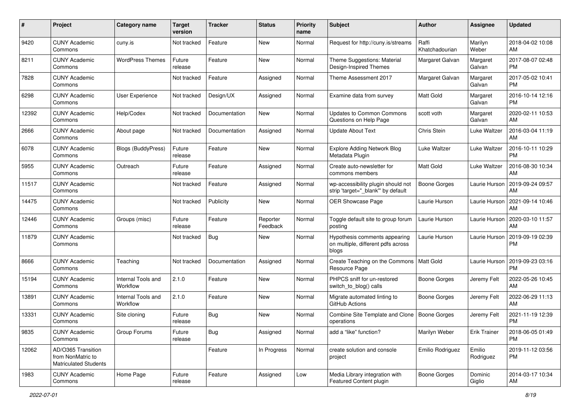| #     | Project                                                                 | <b>Category name</b>           | <b>Target</b><br>version | <b>Tracker</b> | <b>Status</b>        | Priority<br>name | <b>Subject</b>                                                               | Author                  | <b>Assignee</b>     | <b>Updated</b>                |
|-------|-------------------------------------------------------------------------|--------------------------------|--------------------------|----------------|----------------------|------------------|------------------------------------------------------------------------------|-------------------------|---------------------|-------------------------------|
| 9420  | <b>CUNY Academic</b><br>Commons                                         | cuny.is                        | Not tracked              | Feature        | <b>New</b>           | Normal           | Request for http://cuny.is/streams                                           | Raffi<br>Khatchadourian | Marilyn<br>Weber    | 2018-04-02 10:08<br>AM        |
| 8211  | <b>CUNY Academic</b><br>Commons                                         | <b>WordPress Themes</b>        | Future<br>release        | Feature        | New                  | Normal           | Theme Suggestions: Material<br>Design-Inspired Themes                        | Margaret Galvan         | Margaret<br>Galvan  | 2017-08-07 02:48<br><b>PM</b> |
| 7828  | <b>CUNY Academic</b><br>Commons                                         |                                | Not tracked              | Feature        | Assigned             | Normal           | Theme Assessment 2017                                                        | Margaret Galvan         | Margaret<br>Galvan  | 2017-05-02 10:41<br><b>PM</b> |
| 6298  | <b>CUNY Academic</b><br>Commons                                         | <b>User Experience</b>         | Not tracked              | Design/UX      | Assigned             | Normal           | Examine data from survey                                                     | <b>Matt Gold</b>        | Margaret<br>Galvan  | 2016-10-14 12:16<br><b>PM</b> |
| 12392 | <b>CUNY Academic</b><br>Commons                                         | Help/Codex                     | Not tracked              | Documentation  | <b>New</b>           | Normal           | <b>Updates to Common Commons</b><br>Questions on Help Page                   | scott voth              | Margaret<br>Galvan  | 2020-02-11 10:53<br>AM        |
| 2666  | <b>CUNY Academic</b><br>Commons                                         | About page                     | Not tracked              | Documentation  | Assigned             | Normal           | <b>Update About Text</b>                                                     | Chris Stein             | Luke Waltzer        | 2016-03-04 11:19<br>AM        |
| 6078  | <b>CUNY Academic</b><br>Commons                                         | <b>Blogs (BuddyPress)</b>      | Future<br>release        | Feature        | New                  | Normal           | <b>Explore Adding Network Blog</b><br>Metadata Plugin                        | Luke Waltzer            | Luke Waltzer        | 2016-10-11 10:29<br><b>PM</b> |
| 5955  | <b>CUNY Academic</b><br>Commons                                         | Outreach                       | Future<br>release        | Feature        | Assigned             | Normal           | Create auto-newsletter for<br>commons members                                | <b>Matt Gold</b>        | Luke Waltzer        | 2016-08-30 10:34<br>AM        |
| 11517 | <b>CUNY Academic</b><br>Commons                                         |                                | Not tracked              | Feature        | Assigned             | Normal           | wp-accessibility plugin should not<br>strip 'target="_blank"' by default     | <b>Boone Gorges</b>     | Laurie Hurson       | 2019-09-24 09:57<br>AM        |
| 14475 | <b>CUNY Academic</b><br>Commons                                         |                                | Not tracked              | Publicity      | <b>New</b>           | Normal           | OER Showcase Page                                                            | Laurie Hurson           | Laurie Hurson       | 2021-09-14 10:46<br>AM        |
| 12446 | <b>CUNY Academic</b><br>Commons                                         | Groups (misc)                  | Future<br>release        | Feature        | Reporter<br>Feedback | Normal           | Toggle default site to group forum<br>posting                                | Laurie Hurson           | Laurie Hurson       | 2020-03-10 11:57<br>AM        |
| 11879 | <b>CUNY Academic</b><br>Commons                                         |                                | Not tracked              | Bug            | New                  | Normal           | Hypothesis comments appearing<br>on multiple, different pdfs across<br>blogs | Laurie Hurson           | Laurie Hurson       | 2019-09-19 02:39<br><b>PM</b> |
| 8666  | <b>CUNY Academic</b><br>Commons                                         | Teaching                       | Not tracked              | Documentation  | Assigned             | Normal           | Create Teaching on the Commons<br>Resource Page                              | Matt Gold               | Laurie Hurson       | 2019-09-23 03:16<br><b>PM</b> |
| 15194 | <b>CUNY Academic</b><br>Commons                                         | Internal Tools and<br>Workflow | 2.1.0                    | Feature        | New                  | Normal           | PHPCS sniff for un-restored<br>switch_to_blog() calls                        | <b>Boone Gorges</b>     | Jeremy Felt         | 2022-05-26 10:45<br>AM        |
| 13891 | <b>CUNY Academic</b><br>Commons                                         | Internal Tools and<br>Workflow | 2.1.0                    | Feature        | New                  | Normal           | Migrate automated linting to<br>GitHub Actions                               | <b>Boone Gorges</b>     | Jeremy Felt         | 2022-06-29 11:13<br>AM        |
| 13331 | <b>CUNY Academic</b><br>Commons                                         | Site cloning                   | Future<br>release        | Bug            | New                  | Normal           | Combine Site Template and Clone<br>operations                                | <b>Boone Gorges</b>     | Jeremy Felt         | 2021-11-19 12:39<br><b>PM</b> |
| 9835  | <b>CUNY Academic</b><br>Commons                                         | Group Forums                   | Future<br>release        | Bug            | Assigned             | Normal           | add a "like" function?                                                       | Marilyn Weber           | <b>Erik Trainer</b> | 2018-06-05 01:49<br><b>PM</b> |
| 12062 | AD/O365 Transition<br>from NonMatric to<br><b>Matriculated Students</b> |                                |                          | Feature        | In Progress          | Normal           | create solution and console<br>project                                       | Emilio Rodriguez        | Emilio<br>Rodriguez | 2019-11-12 03:56<br><b>PM</b> |
| 1983  | <b>CUNY Academic</b><br>Commons                                         | Home Page                      | Future<br>release        | Feature        | Assigned             | Low              | Media Library integration with<br>Featured Content plugin                    | Boone Gorges            | Dominic<br>Giglio   | 2014-03-17 10:34<br>AM        |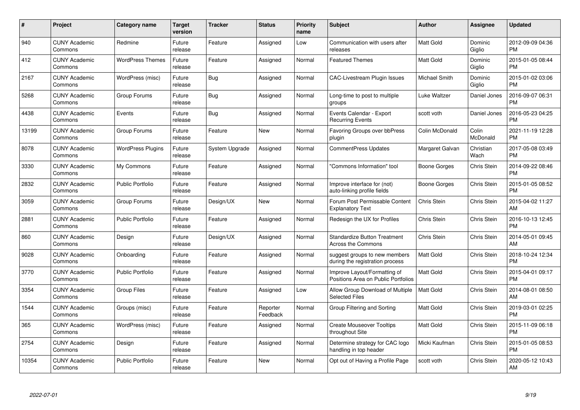| #     | Project                         | <b>Category name</b>     | <b>Target</b><br>version | <b>Tracker</b> | <b>Status</b>        | Priority<br>name | <b>Subject</b>                                                      | <b>Author</b>    | <b>Assignee</b>    | <b>Updated</b>                |
|-------|---------------------------------|--------------------------|--------------------------|----------------|----------------------|------------------|---------------------------------------------------------------------|------------------|--------------------|-------------------------------|
| 940   | <b>CUNY Academic</b><br>Commons | Redmine                  | Future<br>release        | Feature        | Assigned             | Low              | Communication with users after<br>releases                          | <b>Matt Gold</b> | Dominic<br>Giglio  | 2012-09-09 04:36<br><b>PM</b> |
| 412   | <b>CUNY Academic</b><br>Commons | <b>WordPress Themes</b>  | Future<br>release        | Feature        | Assigned             | Normal           | <b>Featured Themes</b>                                              | <b>Matt Gold</b> | Dominic<br>Giglio  | 2015-01-05 08:44<br><b>PM</b> |
| 2167  | <b>CUNY Academic</b><br>Commons | WordPress (misc)         | Future<br>release        | Bug            | Assigned             | Normal           | <b>CAC-Livestream Plugin Issues</b>                                 | Michael Smith    | Dominic<br>Giglio  | 2015-01-02 03:06<br><b>PM</b> |
| 5268  | <b>CUNY Academic</b><br>Commons | Group Forums             | Future<br>release        | Bug            | Assigned             | Normal           | Long-time to post to multiple<br>groups                             | Luke Waltzer     | Daniel Jones       | 2016-09-07 06:31<br><b>PM</b> |
| 4438  | <b>CUNY Academic</b><br>Commons | Events                   | Future<br>release        | Bug            | Assigned             | Normal           | Events Calendar - Export<br><b>Recurring Events</b>                 | scott voth       | Daniel Jones       | 2016-05-23 04:25<br><b>PM</b> |
| 13199 | <b>CUNY Academic</b><br>Commons | Group Forums             | Future<br>release        | Feature        | New                  | Normal           | Favoring Groups over bbPress<br>plugin                              | Colin McDonald   | Colin<br>McDonald  | 2021-11-19 12:28<br><b>PM</b> |
| 8078  | <b>CUNY Academic</b><br>Commons | <b>WordPress Plugins</b> | Future<br>release        | System Upgrade | Assigned             | Normal           | <b>CommentPress Updates</b>                                         | Margaret Galvan  | Christian<br>Wach  | 2017-05-08 03:49<br><b>PM</b> |
| 3330  | <b>CUNY Academic</b><br>Commons | My Commons               | Future<br>release        | Feature        | Assigned             | Normal           | "Commons Information" tool                                          | Boone Gorges     | Chris Stein        | 2014-09-22 08:46<br><b>PM</b> |
| 2832  | <b>CUNY Academic</b><br>Commons | <b>Public Portfolio</b>  | Future<br>release        | Feature        | Assigned             | Normal           | Improve interface for (not)<br>auto-linking profile fields          | Boone Gorges     | Chris Stein        | 2015-01-05 08:52<br><b>PM</b> |
| 3059  | <b>CUNY Academic</b><br>Commons | Group Forums             | Future<br>release        | Design/UX      | <b>New</b>           | Normal           | Forum Post Permissable Content<br><b>Explanatory Text</b>           | Chris Stein      | <b>Chris Stein</b> | 2015-04-02 11:27<br>AM        |
| 2881  | <b>CUNY Academic</b><br>Commons | <b>Public Portfolio</b>  | Future<br>release        | Feature        | Assigned             | Normal           | Redesign the UX for Profiles                                        | Chris Stein      | <b>Chris Stein</b> | 2016-10-13 12:45<br><b>PM</b> |
| 860   | <b>CUNY Academic</b><br>Commons | Design                   | Future<br>release        | Design/UX      | Assigned             | Normal           | <b>Standardize Button Treatment</b><br><b>Across the Commons</b>    | Chris Stein      | Chris Stein        | 2014-05-01 09:45<br>AM        |
| 9028  | <b>CUNY Academic</b><br>Commons | Onboarding               | Future<br>release        | Feature        | Assigned             | Normal           | suggest groups to new members<br>during the registration process    | <b>Matt Gold</b> | Chris Stein        | 2018-10-24 12:34<br><b>PM</b> |
| 3770  | <b>CUNY Academic</b><br>Commons | <b>Public Portfolio</b>  | Future<br>release        | Feature        | Assigned             | Normal           | Improve Layout/Formatting of<br>Positions Area on Public Portfolios | Matt Gold        | Chris Stein        | 2015-04-01 09:17<br><b>PM</b> |
| 3354  | <b>CUNY Academic</b><br>Commons | <b>Group Files</b>       | Future<br>release        | Feature        | Assigned             | Low              | Allow Group Download of Multiple<br><b>Selected Files</b>           | Matt Gold        | Chris Stein        | 2014-08-01 08:50<br>AM        |
| 1544  | <b>CUNY Academic</b><br>Commons | Groups (misc)            | Future<br>release        | Feature        | Reporter<br>Feedback | Normal           | Group Filtering and Sorting                                         | <b>Matt Gold</b> | Chris Stein        | 2019-03-01 02:25<br><b>PM</b> |
| 365   | <b>CUNY Academic</b><br>Commons | WordPress (misc)         | Future<br>release        | Feature        | Assigned             | Normal           | <b>Create Mouseover Tooltips</b><br>throughout Site                 | <b>Matt Gold</b> | Chris Stein        | 2015-11-09 06:18<br><b>PM</b> |
| 2754  | <b>CUNY Academic</b><br>Commons | Design                   | Future<br>release        | Feature        | Assigned             | Normal           | Determine strategy for CAC logo<br>handling in top header           | Micki Kaufman    | Chris Stein        | 2015-01-05 08:53<br><b>PM</b> |
| 10354 | CUNY Academic<br>Commons        | <b>Public Portfolio</b>  | Future<br>release        | Feature        | <b>New</b>           | Normal           | Opt out of Having a Profile Page                                    | scott voth       | Chris Stein        | 2020-05-12 10:43<br>AM        |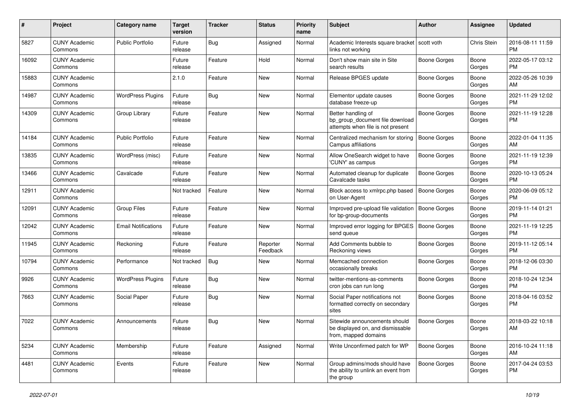| #     | Project                         | <b>Category name</b>       | <b>Target</b><br>version | <b>Tracker</b> | <b>Status</b>        | <b>Priority</b><br>name | Subject                                                                                    | Author              | Assignee        | <b>Updated</b>                |
|-------|---------------------------------|----------------------------|--------------------------|----------------|----------------------|-------------------------|--------------------------------------------------------------------------------------------|---------------------|-----------------|-------------------------------|
| 5827  | <b>CUNY Academic</b><br>Commons | <b>Public Portfolio</b>    | Future<br>release        | Bug            | Assigned             | Normal                  | Academic Interests square bracket   scott voth<br>links not working                        |                     | Chris Stein     | 2016-08-11 11:59<br><b>PM</b> |
| 16092 | <b>CUNY Academic</b><br>Commons |                            | Future<br>release        | Feature        | Hold                 | Normal                  | Don't show main site in Site<br>search results                                             | <b>Boone Gorges</b> | Boone<br>Gorges | 2022-05-17 03:12<br><b>PM</b> |
| 15883 | <b>CUNY Academic</b><br>Commons |                            | 2.1.0                    | Feature        | New                  | Normal                  | Release BPGES update                                                                       | Boone Gorges        | Boone<br>Gorges | 2022-05-26 10:39<br>AM        |
| 14987 | <b>CUNY Academic</b><br>Commons | <b>WordPress Plugins</b>   | Future<br>release        | Bug            | New                  | Normal                  | Elementor update causes<br>database freeze-up                                              | Boone Gorges        | Boone<br>Gorges | 2021-11-29 12:02<br><b>PM</b> |
| 14309 | <b>CUNY Academic</b><br>Commons | Group Library              | Future<br>release        | Feature        | New                  | Normal                  | Better handling of<br>bp group document file download<br>attempts when file is not present | Boone Gorges        | Boone<br>Gorges | 2021-11-19 12:28<br>PM        |
| 14184 | <b>CUNY Academic</b><br>Commons | <b>Public Portfolio</b>    | Future<br>release        | Feature        | New                  | Normal                  | Centralized mechanism for storing<br>Campus affiliations                                   | <b>Boone Gorges</b> | Boone<br>Gorges | 2022-01-04 11:35<br>AM        |
| 13835 | <b>CUNY Academic</b><br>Commons | WordPress (misc)           | Future<br>release        | Feature        | New                  | Normal                  | Allow OneSearch widget to have<br>'CUNY' as campus                                         | <b>Boone Gorges</b> | Boone<br>Gorges | 2021-11-19 12:39<br><b>PM</b> |
| 13466 | <b>CUNY Academic</b><br>Commons | Cavalcade                  | Future<br>release        | Feature        | New                  | Normal                  | Automated cleanup for duplicate<br>Cavalcade tasks                                         | <b>Boone Gorges</b> | Boone<br>Gorges | 2020-10-13 05:24<br><b>PM</b> |
| 12911 | <b>CUNY Academic</b><br>Commons |                            | Not tracked              | Feature        | <b>New</b>           | Normal                  | Block access to xmlrpc.php based<br>on User-Agent                                          | <b>Boone Gorges</b> | Boone<br>Gorges | 2020-06-09 05:12<br>PM.       |
| 12091 | <b>CUNY Academic</b><br>Commons | <b>Group Files</b>         | Future<br>release        | Feature        | New                  | Normal                  | Improved pre-upload file validation<br>for bp-group-documents                              | <b>Boone Gorges</b> | Boone<br>Gorges | 2019-11-14 01:21<br><b>PM</b> |
| 12042 | <b>CUNY Academic</b><br>Commons | <b>Email Notifications</b> | Future<br>release        | Feature        | <b>New</b>           | Normal                  | Improved error logging for BPGES<br>send queue                                             | <b>Boone Gorges</b> | Boone<br>Gorges | 2021-11-19 12:25<br><b>PM</b> |
| 11945 | <b>CUNY Academic</b><br>Commons | Reckoning                  | Future<br>release        | Feature        | Reporter<br>Feedback | Normal                  | Add Comments bubble to<br>Reckoning views                                                  | Boone Gorges        | Boone<br>Gorges | 2019-11-12 05:14<br><b>PM</b> |
| 10794 | <b>CUNY Academic</b><br>Commons | Performance                | Not tracked              | Bug            | New                  | Normal                  | Memcached connection<br>occasionally breaks                                                | Boone Gorges        | Boone<br>Gorges | 2018-12-06 03:30<br><b>PM</b> |
| 9926  | <b>CUNY Academic</b><br>Commons | <b>WordPress Plugins</b>   | Future<br>release        | Bug            | New                  | Normal                  | twitter-mentions-as-comments<br>cron jobs can run long                                     | <b>Boone Gorges</b> | Boone<br>Gorges | 2018-10-24 12:34<br><b>PM</b> |
| 7663  | <b>CUNY Academic</b><br>Commons | Social Paper               | Future<br>release        | Bug            | New                  | Normal                  | Social Paper notifications not<br>formatted correctly on secondary<br>sites                | Boone Gorges        | Boone<br>Gorges | 2018-04-16 03:52<br><b>PM</b> |
| 7022  | <b>CUNY Academic</b><br>Commons | Announcements              | Future<br>release        | Bug            | New                  | Normal                  | Sitewide announcements should<br>be displayed on, and dismissable<br>from, mapped domains  | <b>Boone Gorges</b> | Boone<br>Gorges | 2018-03-22 10:18<br>AM        |
| 5234  | <b>CUNY Academic</b><br>Commons | Membership                 | Future<br>release        | Feature        | Assigned             | Normal                  | Write Unconfirmed patch for WP                                                             | <b>Boone Gorges</b> | Boone<br>Gorges | 2016-10-24 11:18<br>AM        |
| 4481  | <b>CUNY Academic</b><br>Commons | Events                     | Future<br>release        | Feature        | New                  | Normal                  | Group admins/mods should have<br>the ability to unlink an event from<br>the group          | Boone Gorges        | Boone<br>Gorges | 2017-04-24 03:53<br><b>PM</b> |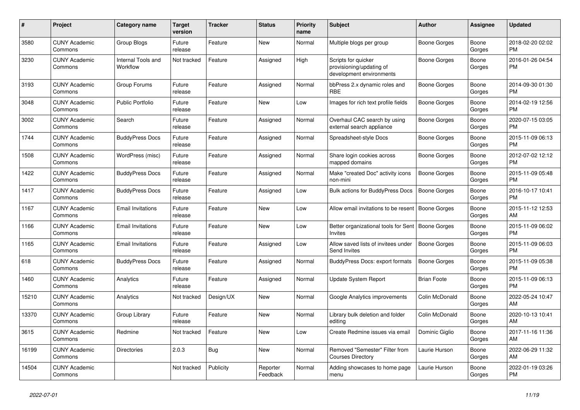| #     | Project                         | <b>Category name</b>           | Target<br>version | <b>Tracker</b> | <b>Status</b>        | Priority<br>name | <b>Subject</b>                                                              | <b>Author</b>       | Assignee        | <b>Updated</b>                |
|-------|---------------------------------|--------------------------------|-------------------|----------------|----------------------|------------------|-----------------------------------------------------------------------------|---------------------|-----------------|-------------------------------|
| 3580  | <b>CUNY Academic</b><br>Commons | Group Blogs                    | Future<br>release | Feature        | New                  | Normal           | Multiple blogs per group                                                    | Boone Gorges        | Boone<br>Gorges | 2018-02-20 02:02<br><b>PM</b> |
| 3230  | <b>CUNY Academic</b><br>Commons | Internal Tools and<br>Workflow | Not tracked       | Feature        | Assigned             | High             | Scripts for quicker<br>provisioning/updating of<br>development environments | Boone Gorges        | Boone<br>Gorges | 2016-01-26 04:54<br><b>PM</b> |
| 3193  | <b>CUNY Academic</b><br>Commons | Group Forums                   | Future<br>release | Feature        | Assigned             | Normal           | bbPress 2.x dynamic roles and<br><b>RBE</b>                                 | Boone Gorges        | Boone<br>Gorges | 2014-09-30 01:30<br>PM.       |
| 3048  | <b>CUNY Academic</b><br>Commons | <b>Public Portfolio</b>        | Future<br>release | Feature        | New                  | Low              | Images for rich text profile fields                                         | Boone Gorges        | Boone<br>Gorges | 2014-02-19 12:56<br><b>PM</b> |
| 3002  | <b>CUNY Academic</b><br>Commons | Search                         | Future<br>release | Feature        | Assigned             | Normal           | Overhaul CAC search by using<br>external search appliance                   | Boone Gorges        | Boone<br>Gorges | 2020-07-15 03:05<br><b>PM</b> |
| 1744  | <b>CUNY Academic</b><br>Commons | <b>BuddyPress Docs</b>         | Future<br>release | Feature        | Assigned             | Normal           | Spreadsheet-style Docs                                                      | Boone Gorges        | Boone<br>Gorges | 2015-11-09 06:13<br><b>PM</b> |
| 1508  | <b>CUNY Academic</b><br>Commons | WordPress (misc)               | Future<br>release | Feature        | Assigned             | Normal           | Share login cookies across<br>mapped domains                                | Boone Gorges        | Boone<br>Gorges | 2012-07-02 12:12<br><b>PM</b> |
| 1422  | <b>CUNY Academic</b><br>Commons | <b>BuddyPress Docs</b>         | Future<br>release | Feature        | Assigned             | Normal           | Make "created Doc" activity icons<br>non-mini                               | Boone Gorges        | Boone<br>Gorges | 2015-11-09 05:48<br><b>PM</b> |
| 1417  | <b>CUNY Academic</b><br>Commons | <b>BuddyPress Docs</b>         | Future<br>release | Feature        | Assigned             | Low              | <b>Bulk actions for BuddyPress Docs</b>                                     | <b>Boone Gorges</b> | Boone<br>Gorges | 2016-10-17 10:41<br><b>PM</b> |
| 1167  | <b>CUNY Academic</b><br>Commons | <b>Email Invitations</b>       | Future<br>release | Feature        | New                  | Low              | Allow email invitations to be resent                                        | <b>Boone Gorges</b> | Boone<br>Gorges | 2015-11-12 12:53<br>AM        |
| 1166  | <b>CUNY Academic</b><br>Commons | <b>Email Invitations</b>       | Future<br>release | Feature        | New                  | Low              | Better organizational tools for Sent   Boone Gorges<br><b>Invites</b>       |                     | Boone<br>Gorges | 2015-11-09 06:02<br><b>PM</b> |
| 1165  | <b>CUNY Academic</b><br>Commons | <b>Email Invitations</b>       | Future<br>release | Feature        | Assigned             | Low              | Allow saved lists of invitees under<br>Send Invites                         | Boone Gorges        | Boone<br>Gorges | 2015-11-09 06:03<br><b>PM</b> |
| 618   | <b>CUNY Academic</b><br>Commons | <b>BuddyPress Docs</b>         | Future<br>release | Feature        | Assigned             | Normal           | <b>BuddyPress Docs: export formats</b>                                      | <b>Boone Gorges</b> | Boone<br>Gorges | 2015-11-09 05:38<br><b>PM</b> |
| 1460  | <b>CUNY Academic</b><br>Commons | Analytics                      | Future<br>release | Feature        | Assigned             | Normal           | <b>Update System Report</b>                                                 | <b>Brian Foote</b>  | Boone<br>Gorges | 2015-11-09 06:13<br><b>PM</b> |
| 15210 | <b>CUNY Academic</b><br>Commons | Analytics                      | Not tracked       | Design/UX      | New                  | Normal           | Google Analytics improvements                                               | Colin McDonald      | Boone<br>Gorges | 2022-05-24 10:47<br>AM        |
| 13370 | <b>CUNY Academic</b><br>Commons | Group Library                  | Future<br>release | Feature        | <b>New</b>           | Normal           | Library bulk deletion and folder<br>editing                                 | Colin McDonald      | Boone<br>Gorges | 2020-10-13 10:41<br>AM        |
| 3615  | <b>CUNY Academic</b><br>Commons | Redmine                        | Not tracked       | Feature        | New                  | Low              | Create Redmine issues via email                                             | Dominic Giglio      | Boone<br>Gorges | 2017-11-16 11:36<br><b>AM</b> |
| 16199 | <b>CUNY Academic</b><br>Commons | Directories                    | 2.0.3             | Bug            | New                  | Normal           | Removed "Semester" Filter from<br><b>Courses Directory</b>                  | Laurie Hurson       | Boone<br>Gorges | 2022-06-29 11:32<br>AM.       |
| 14504 | <b>CUNY Academic</b><br>Commons |                                | Not tracked       | Publicity      | Reporter<br>Feedback | Normal           | Adding showcases to home page<br>menu                                       | Laurie Hurson       | Boone<br>Gorges | 2022-01-19 03:26<br>PM        |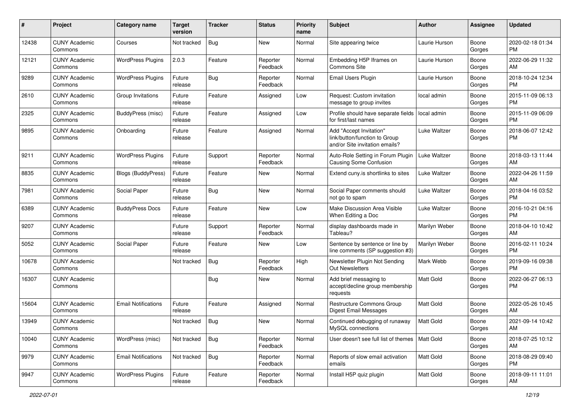| #     | Project                         | <b>Category name</b>       | <b>Target</b><br>version | <b>Tracker</b> | <b>Status</b>        | <b>Priority</b><br>name | <b>Subject</b>                                                                             | <b>Author</b> | <b>Assignee</b> | <b>Updated</b>                |
|-------|---------------------------------|----------------------------|--------------------------|----------------|----------------------|-------------------------|--------------------------------------------------------------------------------------------|---------------|-----------------|-------------------------------|
| 12438 | <b>CUNY Academic</b><br>Commons | Courses                    | Not tracked              | <b>Bug</b>     | New                  | Normal                  | Site appearing twice                                                                       | Laurie Hurson | Boone<br>Gorges | 2020-02-18 01:34<br>PM.       |
| 12121 | <b>CUNY Academic</b><br>Commons | <b>WordPress Plugins</b>   | 2.0.3                    | Feature        | Reporter<br>Feedback | Normal                  | Embedding H5P Iframes on<br>Commons Site                                                   | Laurie Hurson | Boone<br>Gorges | 2022-06-29 11:32<br>AM        |
| 9289  | <b>CUNY Academic</b><br>Commons | <b>WordPress Plugins</b>   | Future<br>release        | Bug            | Reporter<br>Feedback | Normal                  | Email Users Plugin                                                                         | Laurie Hurson | Boone<br>Gorges | 2018-10-24 12:34<br><b>PM</b> |
| 2610  | <b>CUNY Academic</b><br>Commons | Group Invitations          | Future<br>release        | Feature        | Assigned             | Low                     | Request: Custom invitation<br>message to group invites                                     | local admin   | Boone<br>Gorges | 2015-11-09 06:13<br><b>PM</b> |
| 2325  | <b>CUNY Academic</b><br>Commons | <b>BuddyPress (misc)</b>   | Future<br>release        | Feature        | Assigned             | Low                     | Profile should have separate fields<br>for first/last names                                | local admin   | Boone<br>Gorges | 2015-11-09 06:09<br><b>PM</b> |
| 9895  | <b>CUNY Academic</b><br>Commons | Onboarding                 | Future<br>release        | Feature        | Assigned             | Normal                  | Add "Accept Invitation"<br>link/button/function to Group<br>and/or Site invitation emails? | Luke Waltzer  | Boone<br>Gorges | 2018-06-07 12:42<br><b>PM</b> |
| 9211  | <b>CUNY Academic</b><br>Commons | <b>WordPress Plugins</b>   | Future<br>release        | Support        | Reporter<br>Feedback | Normal                  | Auto-Role Setting in Forum Plugin<br><b>Causing Some Confusion</b>                         | Luke Waltzer  | Boone<br>Gorges | 2018-03-13 11:44<br>AM        |
| 8835  | <b>CUNY Academic</b><br>Commons | Blogs (BuddyPress)         | Future<br>release        | Feature        | New                  | Normal                  | Extend cuny is shortlinks to sites                                                         | Luke Waltzer  | Boone<br>Gorges | 2022-04-26 11:59<br>AM        |
| 7981  | <b>CUNY Academic</b><br>Commons | Social Paper               | Future<br>release        | <b>Bug</b>     | New                  | Normal                  | Social Paper comments should<br>not go to spam                                             | Luke Waltzer  | Boone<br>Gorges | 2018-04-16 03:52<br><b>PM</b> |
| 6389  | <b>CUNY Academic</b><br>Commons | <b>BuddyPress Docs</b>     | Future<br>release        | Feature        | New                  | Low                     | Make Discussion Area Visible<br>When Editing a Doc                                         | Luke Waltzer  | Boone<br>Gorges | 2016-10-21 04:16<br><b>PM</b> |
| 9207  | <b>CUNY Academic</b><br>Commons |                            | Future<br>release        | Support        | Reporter<br>Feedback | Normal                  | display dashboards made in<br>Tableau?                                                     | Marilyn Weber | Boone<br>Gorges | 2018-04-10 10:42<br>AM        |
| 5052  | <b>CUNY Academic</b><br>Commons | Social Paper               | Future<br>release        | Feature        | New                  | Low                     | Sentence by sentence or line by<br>line comments (SP suggestion #3)                        | Marilyn Weber | Boone<br>Gorges | 2016-02-11 10:24<br><b>PM</b> |
| 10678 | <b>CUNY Academic</b><br>Commons |                            | Not tracked              | <b>Bug</b>     | Reporter<br>Feedback | High                    | Newsletter Plugin Not Sending<br><b>Out Newsletters</b>                                    | Mark Webb     | Boone<br>Gorges | 2019-09-16 09:38<br><b>PM</b> |
| 16307 | <b>CUNY Academic</b><br>Commons |                            |                          | <b>Bug</b>     | New                  | Normal                  | Add brief messaging to<br>accept/decline group membership<br>requests                      | Matt Gold     | Boone<br>Gorges | 2022-06-27 06:13<br><b>PM</b> |
| 15604 | <b>CUNY Academic</b><br>Commons | <b>Email Notifications</b> | Future<br>release        | Feature        | Assigned             | Normal                  | Restructure Commons Group<br>Digest Email Messages                                         | Matt Gold     | Boone<br>Gorges | 2022-05-26 10:45<br>AM        |
| 13949 | <b>CUNY Academic</b><br>Commons |                            | Not tracked              | Bug            | New                  | Normal                  | Continued debugging of runaway<br>MySQL connections                                        | Matt Gold     | Boone<br>Gorges | 2021-09-14 10:42<br>AM        |
| 10040 | <b>CUNY Academic</b><br>Commons | WordPress (misc)           | Not tracked              | Bug            | Reporter<br>Feedback | Normal                  | User doesn't see full list of themes   Matt Gold                                           |               | Boone<br>Gorges | 2018-07-25 10:12<br>AM        |
| 9979  | <b>CUNY Academic</b><br>Commons | <b>Email Notifications</b> | Not tracked              | <b>Bug</b>     | Reporter<br>Feedback | Normal                  | Reports of slow email activation<br>emails                                                 | Matt Gold     | Boone<br>Gorges | 2018-08-29 09:40<br><b>PM</b> |
| 9947  | <b>CUNY Academic</b><br>Commons | <b>WordPress Plugins</b>   | Future<br>release        | Feature        | Reporter<br>Feedback | Normal                  | Install H5P quiz plugin                                                                    | Matt Gold     | Boone<br>Gorges | 2018-09-11 11:01<br>AM        |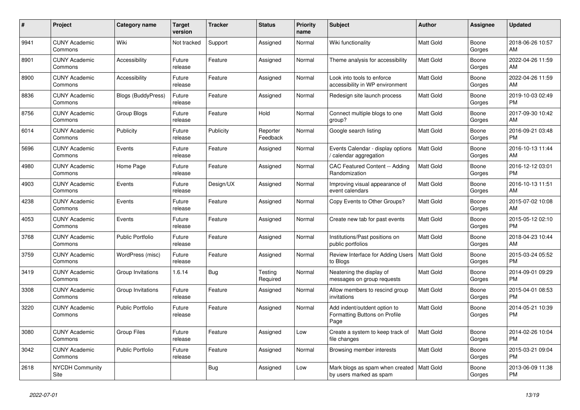| #    | <b>Project</b>                  | Category name             | Target<br>version | <b>Tracker</b> | <b>Status</b>        | Priority<br>name | <b>Subject</b>                                                        | <b>Author</b>    | Assignee        | <b>Updated</b>                |
|------|---------------------------------|---------------------------|-------------------|----------------|----------------------|------------------|-----------------------------------------------------------------------|------------------|-----------------|-------------------------------|
| 9941 | <b>CUNY Academic</b><br>Commons | Wiki                      | Not tracked       | Support        | Assigned             | Normal           | Wiki functionality                                                    | Matt Gold        | Boone<br>Gorges | 2018-06-26 10:57<br>AM        |
| 8901 | <b>CUNY Academic</b><br>Commons | Accessibility             | Future<br>release | Feature        | Assigned             | Normal           | Theme analysis for accessibility                                      | <b>Matt Gold</b> | Boone<br>Gorges | 2022-04-26 11:59<br>AM.       |
| 8900 | <b>CUNY Academic</b><br>Commons | Accessibility             | Future<br>release | Feature        | Assigned             | Normal           | Look into tools to enforce<br>accessibility in WP environment         | <b>Matt Gold</b> | Boone<br>Gorges | 2022-04-26 11:59<br><b>AM</b> |
| 8836 | <b>CUNY Academic</b><br>Commons | <b>Blogs (BuddyPress)</b> | Future<br>release | Feature        | Assigned             | Normal           | Redesign site launch process                                          | <b>Matt Gold</b> | Boone<br>Gorges | 2019-10-03 02:49<br><b>PM</b> |
| 8756 | <b>CUNY Academic</b><br>Commons | Group Blogs               | Future<br>release | Feature        | Hold                 | Normal           | Connect multiple blogs to one<br>group?                               | <b>Matt Gold</b> | Boone<br>Gorges | 2017-09-30 10:42<br>AM        |
| 6014 | <b>CUNY Academic</b><br>Commons | Publicity                 | Future<br>release | Publicity      | Reporter<br>Feedback | Normal           | Google search listing                                                 | Matt Gold        | Boone<br>Gorges | 2016-09-21 03:48<br><b>PM</b> |
| 5696 | <b>CUNY Academic</b><br>Commons | Events                    | Future<br>release | Feature        | Assigned             | Normal           | Events Calendar - display options<br>calendar aggregation             | <b>Matt Gold</b> | Boone<br>Gorges | 2016-10-13 11:44<br>AM        |
| 4980 | <b>CUNY Academic</b><br>Commons | Home Page                 | Future<br>release | Feature        | Assigned             | Normal           | <b>CAC Featured Content -- Adding</b><br>Randomization                | <b>Matt Gold</b> | Boone<br>Gorges | 2016-12-12 03:01<br>PM        |
| 4903 | <b>CUNY Academic</b><br>Commons | Events                    | Future<br>release | Design/UX      | Assigned             | Normal           | Improving visual appearance of<br>event calendars                     | Matt Gold        | Boone<br>Gorges | 2016-10-13 11:51<br>AM.       |
| 4238 | <b>CUNY Academic</b><br>Commons | Events                    | Future<br>release | Feature        | Assigned             | Normal           | Copy Events to Other Groups?                                          | Matt Gold        | Boone<br>Gorges | 2015-07-02 10:08<br>AM        |
| 4053 | <b>CUNY Academic</b><br>Commons | Events                    | Future<br>release | Feature        | Assigned             | Normal           | Create new tab for past events                                        | Matt Gold        | Boone<br>Gorges | 2015-05-12 02:10<br><b>PM</b> |
| 3768 | <b>CUNY Academic</b><br>Commons | <b>Public Portfolio</b>   | Future<br>release | Feature        | Assigned             | Normal           | Institutions/Past positions on<br>public portfolios                   | Matt Gold        | Boone<br>Gorges | 2018-04-23 10:44<br>AM        |
| 3759 | <b>CUNY Academic</b><br>Commons | WordPress (misc)          | Future<br>release | Feature        | Assigned             | Normal           | Review Interface for Adding Users<br>to Blogs                         | Matt Gold        | Boone<br>Gorges | 2015-03-24 05:52<br><b>PM</b> |
| 3419 | <b>CUNY Academic</b><br>Commons | Group Invitations         | 1.6.14            | <b>Bug</b>     | Testing<br>Required  | Normal           | Neatening the display of<br>messages on group requests                | <b>Matt Gold</b> | Boone<br>Gorges | 2014-09-01 09:29<br><b>PM</b> |
| 3308 | <b>CUNY Academic</b><br>Commons | Group Invitations         | Future<br>release | Feature        | Assigned             | Normal           | Allow members to rescind group<br>invitations                         | Matt Gold        | Boone<br>Gorges | 2015-04-01 08:53<br><b>PM</b> |
| 3220 | <b>CUNY Academic</b><br>Commons | <b>Public Portfolio</b>   | Future<br>release | Feature        | Assigned             | Normal           | Add indent/outdent option to<br>Formatting Buttons on Profile<br>Page | Matt Gold        | Boone<br>Gorges | 2014-05-21 10:39<br>PM        |
| 3080 | <b>CUNY Academic</b><br>Commons | <b>Group Files</b>        | Future<br>release | Feature        | Assigned             | Low              | Create a system to keep track of<br>file changes                      | <b>Matt Gold</b> | Boone<br>Gorges | 2014-02-26 10:04<br><b>PM</b> |
| 3042 | <b>CUNY Academic</b><br>Commons | <b>Public Portfolio</b>   | Future<br>release | Feature        | Assigned             | Normal           | Browsing member interests                                             | <b>Matt Gold</b> | Boone<br>Gorges | 2015-03-21 09:04<br><b>PM</b> |
| 2618 | <b>NYCDH Community</b><br>Site  |                           |                   | Bug            | Assigned             | Low              | Mark blogs as spam when created<br>by users marked as spam            | <b>Matt Gold</b> | Boone<br>Gorges | 2013-06-09 11:38<br><b>PM</b> |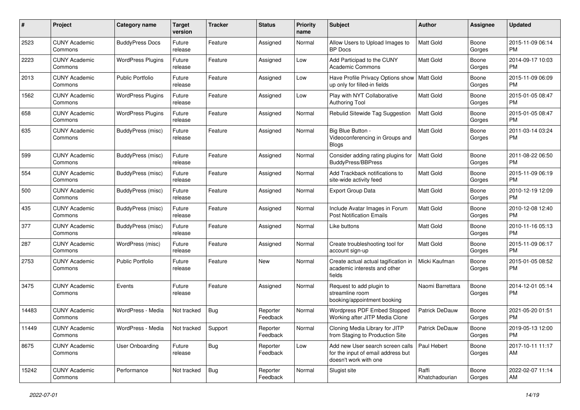| #     | Project                         | <b>Category name</b>     | <b>Target</b><br>version | <b>Tracker</b> | <b>Status</b>        | <b>Priority</b><br>name | <b>Subject</b>                                                                                  | <b>Author</b>           | Assignee        | <b>Updated</b>                |
|-------|---------------------------------|--------------------------|--------------------------|----------------|----------------------|-------------------------|-------------------------------------------------------------------------------------------------|-------------------------|-----------------|-------------------------------|
| 2523  | <b>CUNY Academic</b><br>Commons | <b>BuddyPress Docs</b>   | Future<br>release        | Feature        | Assigned             | Normal                  | Allow Users to Upload Images to<br><b>BP</b> Docs                                               | <b>Matt Gold</b>        | Boone<br>Gorges | 2015-11-09 06:14<br>PM.       |
| 2223  | <b>CUNY Academic</b><br>Commons | <b>WordPress Plugins</b> | Future<br>release        | Feature        | Assigned             | Low                     | Add Participad to the CUNY<br><b>Academic Commons</b>                                           | Matt Gold               | Boone<br>Gorges | 2014-09-17 10:03<br><b>PM</b> |
| 2013  | <b>CUNY Academic</b><br>Commons | <b>Public Portfolio</b>  | Future<br>release        | Feature        | Assigned             | Low                     | Have Profile Privacy Options show<br>up only for filled-in fields                               | Matt Gold               | Boone<br>Gorges | 2015-11-09 06:09<br><b>PM</b> |
| 1562  | <b>CUNY Academic</b><br>Commons | <b>WordPress Plugins</b> | Future<br>release        | Feature        | Assigned             | Low                     | Play with NYT Collaborative<br>Authoring Tool                                                   | Matt Gold               | Boone<br>Gorges | 2015-01-05 08:47<br><b>PM</b> |
| 658   | <b>CUNY Academic</b><br>Commons | <b>WordPress Plugins</b> | Future<br>release        | Feature        | Assigned             | Normal                  | Rebulid Sitewide Tag Suggestion                                                                 | Matt Gold               | Boone<br>Gorges | 2015-01-05 08:47<br><b>PM</b> |
| 635   | <b>CUNY Academic</b><br>Commons | <b>BuddyPress (misc)</b> | Future<br>release        | Feature        | Assigned             | Normal                  | Big Blue Button -<br>Videoconferencing in Groups and<br><b>Blogs</b>                            | Matt Gold               | Boone<br>Gorges | 2011-03-14 03:24<br>PM        |
| 599   | <b>CUNY Academic</b><br>Commons | <b>BuddyPress</b> (misc) | Future<br>release        | Feature        | Assigned             | Normal                  | Consider adding rating plugins for<br><b>BuddyPress/BBPress</b>                                 | Matt Gold               | Boone<br>Gorges | 2011-08-22 06:50<br><b>PM</b> |
| 554   | <b>CUNY Academic</b><br>Commons | <b>BuddyPress (misc)</b> | Future<br>release        | Feature        | Assigned             | Normal                  | Add Trackback notifications to<br>site-wide activity feed                                       | <b>Matt Gold</b>        | Boone<br>Gorges | 2015-11-09 06:19<br><b>PM</b> |
| 500   | <b>CUNY Academic</b><br>Commons | <b>BuddyPress</b> (misc) | Future<br>release        | Feature        | Assigned             | Normal                  | Export Group Data                                                                               | Matt Gold               | Boone<br>Gorges | 2010-12-19 12:09<br>PM.       |
| 435   | <b>CUNY Academic</b><br>Commons | BuddyPress (misc)        | Future<br>release        | Feature        | Assigned             | Normal                  | Include Avatar Images in Forum<br><b>Post Notification Emails</b>                               | <b>Matt Gold</b>        | Boone<br>Gorges | 2010-12-08 12:40<br><b>PM</b> |
| 377   | <b>CUNY Academic</b><br>Commons | <b>BuddyPress (misc)</b> | Future<br>release        | Feature        | Assigned             | Normal                  | Like buttons                                                                                    | Matt Gold               | Boone<br>Gorges | 2010-11-16 05:13<br><b>PM</b> |
| 287   | <b>CUNY Academic</b><br>Commons | WordPress (misc)         | Future<br>release        | Feature        | Assigned             | Normal                  | Create troubleshooting tool for<br>account sign-up                                              | Matt Gold               | Boone<br>Gorges | 2015-11-09 06:17<br><b>PM</b> |
| 2753  | <b>CUNY Academic</b><br>Commons | <b>Public Portfolio</b>  | Future<br>release        | Feature        | New                  | Normal                  | Create actual actual tagification in<br>academic interests and other<br>fields                  | Micki Kaufman           | Boone<br>Gorges | 2015-01-05 08:52<br><b>PM</b> |
| 3475  | <b>CUNY Academic</b><br>Commons | Events                   | Future<br>release        | Feature        | Assigned             | Normal                  | Request to add plugin to<br>streamline room<br>booking/appointment booking                      | Naomi Barrettara        | Boone<br>Gorges | 2014-12-01 05:14<br><b>PM</b> |
| 14483 | <b>CUNY Academic</b><br>Commons | WordPress - Media        | Not tracked              | Bug            | Reporter<br>Feedback | Normal                  | Wordpress PDF Embed Stopped<br>Working after JITP Media Clone                                   | Patrick DeDauw          | Boone<br>Gorges | 2021-05-20 01:51<br><b>PM</b> |
| 11449 | <b>CUNY Academic</b><br>Commons | WordPress - Media        | Not tracked Support      |                | Reporter<br>Feedback | Normal                  | Cloning Media Library for JITP<br>from Staging to Production Site                               | Patrick DeDauw          | Boone<br>Gorges | 2019-05-13 12:00<br><b>PM</b> |
| 8675  | <b>CUNY Academic</b><br>Commons | User Onboarding          | Future<br>release        | Bug            | Reporter<br>Feedback | Low                     | Add new User search screen calls<br>for the input of email address but<br>doesn't work with one | Paul Hebert             | Boone<br>Gorges | 2017-10-11 11:17<br>AM        |
| 15242 | <b>CUNY Academic</b><br>Commons | Performance              | Not tracked              | Bug            | Reporter<br>Feedback | Normal                  | Slugist site                                                                                    | Raffi<br>Khatchadourian | Boone<br>Gorges | 2022-02-07 11:14<br>AM        |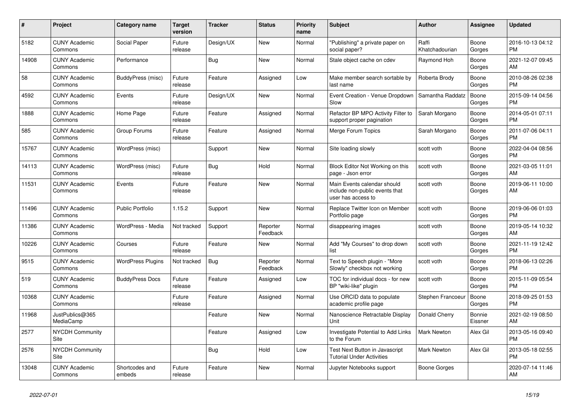| #     | Project                         | <b>Category name</b>     | <b>Target</b><br>version | <b>Tracker</b> | <b>Status</b>        | <b>Priority</b><br>name | <b>Subject</b>                                                                      | <b>Author</b>           | Assignee          | <b>Updated</b>                |
|-------|---------------------------------|--------------------------|--------------------------|----------------|----------------------|-------------------------|-------------------------------------------------------------------------------------|-------------------------|-------------------|-------------------------------|
| 5182  | <b>CUNY Academic</b><br>Commons | Social Paper             | Future<br>release        | Design/UX      | New                  | Normal                  | "Publishing" a private paper on<br>social paper?                                    | Raffi<br>Khatchadourian | Boone<br>Gorges   | 2016-10-13 04:12<br><b>PM</b> |
| 14908 | <b>CUNY Academic</b><br>Commons | Performance              |                          | Bug            | New                  | Normal                  | Stale object cache on cdev                                                          | Raymond Hoh             | Boone<br>Gorges   | 2021-12-07 09:45<br>AM        |
| 58    | <b>CUNY Academic</b><br>Commons | BuddyPress (misc)        | Future<br>release        | Feature        | Assigned             | Low                     | Make member search sortable by<br>last name                                         | Roberta Brody           | Boone<br>Gorges   | 2010-08-26 02:38<br><b>PM</b> |
| 4592  | <b>CUNY Academic</b><br>Commons | Events                   | Future<br>release        | Design/UX      | <b>New</b>           | Normal                  | Event Creation - Venue Dropdown<br>Slow                                             | Samantha Raddatz        | Boone<br>Gorges   | 2015-09-14 04:56<br><b>PM</b> |
| 1888  | <b>CUNY Academic</b><br>Commons | Home Page                | Future<br>release        | Feature        | Assigned             | Normal                  | Refactor BP MPO Activity Filter to<br>support proper pagination                     | Sarah Morgano           | Boone<br>Gorges   | 2014-05-01 07:11<br><b>PM</b> |
| 585   | <b>CUNY Academic</b><br>Commons | Group Forums             | Future<br>release        | Feature        | Assigned             | Normal                  | Merge Forum Topics                                                                  | Sarah Morgano           | Boone<br>Gorges   | 2011-07-06 04:11<br><b>PM</b> |
| 15767 | <b>CUNY Academic</b><br>Commons | WordPress (misc)         |                          | Support        | <b>New</b>           | Normal                  | Site loading slowly                                                                 | scott voth              | Boone<br>Gorges   | 2022-04-04 08:56<br><b>PM</b> |
| 14113 | <b>CUNY Academic</b><br>Commons | WordPress (misc)         | Future<br>release        | Bug            | Hold                 | Normal                  | Block Editor Not Working on this<br>page - Json error                               | scott voth              | Boone<br>Gorges   | 2021-03-05 11:01<br>AM        |
| 11531 | <b>CUNY Academic</b><br>Commons | Events                   | Future<br>release        | Feature        | New                  | Normal                  | Main Events calendar should<br>include non-public events that<br>user has access to | scott voth              | Boone<br>Gorges   | 2019-06-11 10:00<br>AM        |
| 11496 | <b>CUNY Academic</b><br>Commons | <b>Public Portfolio</b>  | 1.15.2                   | Support        | <b>New</b>           | Normal                  | Replace Twitter Icon on Member<br>Portfolio page                                    | scott voth              | Boone<br>Gorges   | 2019-06-06 01:03<br><b>PM</b> |
| 11386 | <b>CUNY Academic</b><br>Commons | WordPress - Media        | Not tracked              | Support        | Reporter<br>Feedback | Normal                  | disappearing images                                                                 | scott voth              | Boone<br>Gorges   | 2019-05-14 10:32<br>AM        |
| 10226 | <b>CUNY Academic</b><br>Commons | Courses                  | Future<br>release        | Feature        | New                  | Normal                  | Add "My Courses" to drop down<br>list                                               | scott voth              | Boone<br>Gorges   | 2021-11-19 12:42<br><b>PM</b> |
| 9515  | <b>CUNY Academic</b><br>Commons | <b>WordPress Plugins</b> | Not tracked              | <b>Bug</b>     | Reporter<br>Feedback | Normal                  | Text to Speech plugin - "More<br>Slowly" checkbox not working                       | scott voth              | Boone<br>Gorges   | 2018-06-13 02:26<br><b>PM</b> |
| 519   | <b>CUNY Academic</b><br>Commons | <b>BuddyPress Docs</b>   | Future<br>release        | Feature        | Assigned             | Low                     | TOC for individual docs - for new<br>BP "wiki-like" plugin                          | scott voth              | Boone<br>Gorges   | 2015-11-09 05:54<br><b>PM</b> |
| 10368 | <b>CUNY Academic</b><br>Commons |                          | Future<br>release        | Feature        | Assigned             | Normal                  | Use ORCID data to populate<br>academic profile page                                 | Stephen Francoeur       | Boone<br>Gorges   | 2018-09-25 01:53<br>PM        |
| 11968 | JustPublics@365<br>MediaCamp    |                          |                          | Feature        | New                  | Normal                  | Nanoscience Retractable Display<br>Unit                                             | Donald Cherry           | Bonnie<br>Eissner | 2021-02-19 08:50<br>AM        |
| 2577  | <b>NYCDH Community</b><br>Site  |                          |                          | Feature        | Assigned             | Low                     | <b>Investigate Potential to Add Links</b><br>to the Forum                           | <b>Mark Newton</b>      | Alex Gil          | 2013-05-16 09:40<br><b>PM</b> |
| 2576  | <b>NYCDH Community</b><br>Site  |                          |                          | <b>Bug</b>     | Hold                 | Low                     | Test Next Button in Javascript<br><b>Tutorial Under Activities</b>                  | Mark Newton             | Alex Gil          | 2013-05-18 02:55<br><b>PM</b> |
| 13048 | <b>CUNY Academic</b><br>Commons | Shortcodes and<br>embeds | Future<br>release        | Feature        | <b>New</b>           | Normal                  | Jupyter Notebooks support                                                           | Boone Gorges            |                   | 2020-07-14 11:46<br>AM        |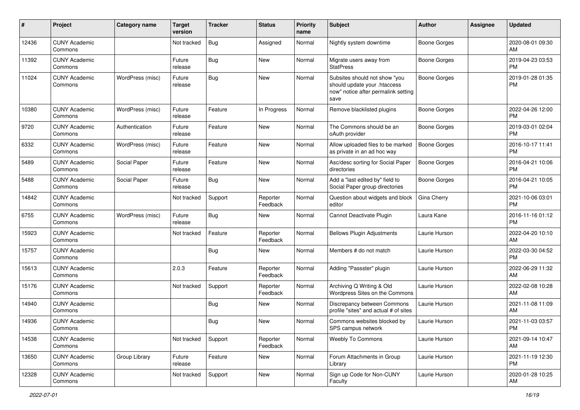| #     | Project                         | Category name    | <b>Target</b><br>version | <b>Tracker</b> | <b>Status</b>        | Priority<br>name | <b>Subject</b>                                                                                               | Author              | Assignee | <b>Updated</b>                |
|-------|---------------------------------|------------------|--------------------------|----------------|----------------------|------------------|--------------------------------------------------------------------------------------------------------------|---------------------|----------|-------------------------------|
| 12436 | <b>CUNY Academic</b><br>Commons |                  | Not tracked              | <b>Bug</b>     | Assigned             | Normal           | Nightly system downtime                                                                                      | <b>Boone Gorges</b> |          | 2020-08-01 09:30<br>AM        |
| 11392 | <b>CUNY Academic</b><br>Commons |                  | Future<br>release        | Bug            | New                  | Normal           | Migrate users away from<br><b>StatPress</b>                                                                  | <b>Boone Gorges</b> |          | 2019-04-23 03:53<br><b>PM</b> |
| 11024 | <b>CUNY Academic</b><br>Commons | WordPress (misc) | Future<br>release        | Bug            | New                  | Normal           | Subsites should not show "you<br>should update your .htaccess<br>now" notice after permalink setting<br>save | <b>Boone Gorges</b> |          | 2019-01-28 01:35<br><b>PM</b> |
| 10380 | <b>CUNY Academic</b><br>Commons | WordPress (misc) | Future<br>release        | Feature        | In Progress          | Normal           | Remove blacklisted plugins                                                                                   | <b>Boone Gorges</b> |          | 2022-04-26 12:00<br><b>PM</b> |
| 9720  | <b>CUNY Academic</b><br>Commons | Authentication   | Future<br>release        | Feature        | New                  | Normal           | The Commons should be an<br>oAuth provider                                                                   | <b>Boone Gorges</b> |          | 2019-03-01 02:04<br><b>PM</b> |
| 6332  | <b>CUNY Academic</b><br>Commons | WordPress (misc) | Future<br>release        | Feature        | <b>New</b>           | Normal           | Allow uploaded files to be marked<br>as private in an ad hoc way                                             | Boone Gorges        |          | 2016-10-17 11:41<br><b>PM</b> |
| 5489  | <b>CUNY Academic</b><br>Commons | Social Paper     | Future<br>release        | Feature        | New                  | Normal           | Asc/desc sorting for Social Paper<br>directories                                                             | <b>Boone Gorges</b> |          | 2016-04-21 10:06<br><b>PM</b> |
| 5488  | <b>CUNY Academic</b><br>Commons | Social Paper     | Future<br>release        | Bug            | New                  | Normal           | Add a "last edited by" field to<br>Social Paper group directories                                            | <b>Boone Gorges</b> |          | 2016-04-21 10:05<br><b>PM</b> |
| 14842 | <b>CUNY Academic</b><br>Commons |                  | Not tracked              | Support        | Reporter<br>Feedback | Normal           | Question about widgets and block<br>editor                                                                   | Gina Cherry         |          | 2021-10-06 03:01<br><b>PM</b> |
| 6755  | <b>CUNY Academic</b><br>Commons | WordPress (misc) | Future<br>release        | Bug            | New                  | Normal           | Cannot Deactivate Plugin                                                                                     | Laura Kane          |          | 2016-11-16 01:12<br><b>PM</b> |
| 15923 | <b>CUNY Academic</b><br>Commons |                  | Not tracked              | Feature        | Reporter<br>Feedback | Normal           | <b>Bellows Plugin Adjustments</b>                                                                            | Laurie Hurson       |          | 2022-04-20 10:10<br>AM        |
| 15757 | <b>CUNY Academic</b><br>Commons |                  |                          | <b>Bug</b>     | New                  | Normal           | Members # do not match                                                                                       | Laurie Hurson       |          | 2022-03-30 04:52<br><b>PM</b> |
| 15613 | <b>CUNY Academic</b><br>Commons |                  | 2.0.3                    | Feature        | Reporter<br>Feedback | Normal           | Adding "Passster" plugin                                                                                     | Laurie Hurson       |          | 2022-06-29 11:32<br>AM        |
| 15176 | <b>CUNY Academic</b><br>Commons |                  | Not tracked              | Support        | Reporter<br>Feedback | Normal           | Archiving Q Writing & Old<br>Wordpress Sites on the Commons                                                  | Laurie Hurson       |          | 2022-02-08 10:28<br>AM        |
| 14940 | <b>CUNY Academic</b><br>Commons |                  |                          | Bug            | New                  | Normal           | Discrepancy between Commons<br>profile "sites" and actual # of sites                                         | Laurie Hurson       |          | 2021-11-08 11:09<br>AM        |
| 14936 | <b>CUNY Academic</b><br>Commons |                  |                          | <b>Bug</b>     | New                  | Normal           | Commons websites blocked by<br>SPS campus network                                                            | Laurie Hurson       |          | 2021-11-03 03:57<br>PM        |
| 14538 | <b>CUNY Academic</b><br>Commons |                  | Not tracked              | Support        | Reporter<br>Feedback | Normal           | <b>Weebly To Commons</b>                                                                                     | Laurie Hurson       |          | 2021-09-14 10:47<br>AM        |
| 13650 | <b>CUNY Academic</b><br>Commons | Group Library    | Future<br>release        | Feature        | New                  | Normal           | Forum Attachments in Group<br>Library                                                                        | Laurie Hurson       |          | 2021-11-19 12:30<br><b>PM</b> |
| 12328 | <b>CUNY Academic</b><br>Commons |                  | Not tracked              | Support        | New                  | Normal           | Sign up Code for Non-CUNY<br>Faculty                                                                         | Laurie Hurson       |          | 2020-01-28 10:25<br>AM        |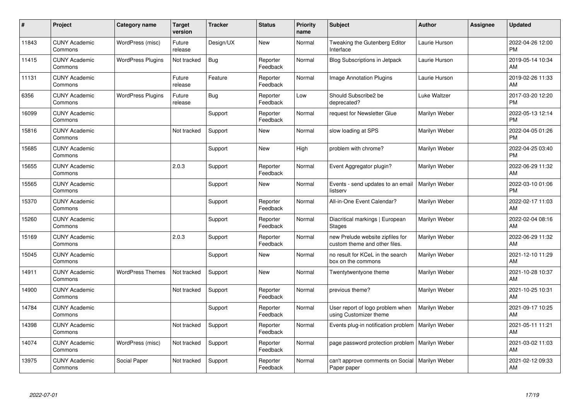| #     | Project                         | <b>Category name</b>     | <b>Target</b><br>version | <b>Tracker</b> | <b>Status</b>        | <b>Priority</b><br>name | <b>Subject</b>                                                    | <b>Author</b> | Assignee | <b>Updated</b>                |
|-------|---------------------------------|--------------------------|--------------------------|----------------|----------------------|-------------------------|-------------------------------------------------------------------|---------------|----------|-------------------------------|
| 11843 | <b>CUNY Academic</b><br>Commons | WordPress (misc)         | Future<br>release        | Design/UX      | <b>New</b>           | Normal                  | Tweaking the Gutenberg Editor<br>Interface                        | Laurie Hurson |          | 2022-04-26 12:00<br><b>PM</b> |
| 11415 | <b>CUNY Academic</b><br>Commons | <b>WordPress Plugins</b> | Not tracked              | <b>Bug</b>     | Reporter<br>Feedback | Normal                  | Blog Subscriptions in Jetpack                                     | Laurie Hurson |          | 2019-05-14 10:34<br>AM        |
| 11131 | <b>CUNY Academic</b><br>Commons |                          | Future<br>release        | Feature        | Reporter<br>Feedback | Normal                  | <b>Image Annotation Plugins</b>                                   | Laurie Hurson |          | 2019-02-26 11:33<br>AM        |
| 6356  | <b>CUNY Academic</b><br>Commons | <b>WordPress Plugins</b> | Future<br>release        | Bug            | Reporter<br>Feedback | Low                     | Should Subscribe2 be<br>deprecated?                               | Luke Waltzer  |          | 2017-03-20 12:20<br><b>PM</b> |
| 16099 | <b>CUNY Academic</b><br>Commons |                          |                          | Support        | Reporter<br>Feedback | Normal                  | request for Newsletter Glue                                       | Marilyn Weber |          | 2022-05-13 12:14<br><b>PM</b> |
| 15816 | <b>CUNY Academic</b><br>Commons |                          | Not tracked              | Support        | New                  | Normal                  | slow loading at SPS                                               | Marilyn Weber |          | 2022-04-05 01:26<br><b>PM</b> |
| 15685 | <b>CUNY Academic</b><br>Commons |                          |                          | Support        | <b>New</b>           | High                    | problem with chrome?                                              | Marilyn Weber |          | 2022-04-25 03:40<br><b>PM</b> |
| 15655 | <b>CUNY Academic</b><br>Commons |                          | 2.0.3                    | Support        | Reporter<br>Feedback | Normal                  | Event Aggregator plugin?                                          | Marilyn Weber |          | 2022-06-29 11:32<br>AM        |
| 15565 | <b>CUNY Academic</b><br>Commons |                          |                          | Support        | New                  | Normal                  | Events - send updates to an email<br>listserv                     | Marilyn Weber |          | 2022-03-10 01:06<br><b>PM</b> |
| 15370 | <b>CUNY Academic</b><br>Commons |                          |                          | Support        | Reporter<br>Feedback | Normal                  | All-in-One Event Calendar?                                        | Marilyn Weber |          | 2022-02-17 11:03<br>AM        |
| 15260 | <b>CUNY Academic</b><br>Commons |                          |                          | Support        | Reporter<br>Feedback | Normal                  | Diacritical markings   European<br><b>Stages</b>                  | Marilyn Weber |          | 2022-02-04 08:16<br>AM        |
| 15169 | <b>CUNY Academic</b><br>Commons |                          | 2.0.3                    | Support        | Reporter<br>Feedback | Normal                  | new Prelude website zipfiles for<br>custom theme and other files. | Marilyn Weber |          | 2022-06-29 11:32<br>AM        |
| 15045 | <b>CUNY Academic</b><br>Commons |                          |                          | Support        | New                  | Normal                  | no result for KCeL in the search<br>box on the commons            | Marilyn Weber |          | 2021-12-10 11:29<br>AM        |
| 14911 | <b>CUNY Academic</b><br>Commons | <b>WordPress Themes</b>  | Not tracked              | Support        | New                  | Normal                  | Twentytwentyone theme                                             | Marilyn Weber |          | 2021-10-28 10:37<br>AM        |
| 14900 | <b>CUNY Academic</b><br>Commons |                          | Not tracked              | Support        | Reporter<br>Feedback | Normal                  | previous theme?                                                   | Marilyn Weber |          | 2021-10-25 10:31<br>AM        |
| 14784 | <b>CUNY Academic</b><br>Commons |                          |                          | Support        | Reporter<br>Feedback | Normal                  | User report of logo problem when<br>using Customizer theme        | Marilyn Weber |          | 2021-09-17 10:25<br>AM        |
| 14398 | <b>CUNY Academic</b><br>Commons |                          | Not tracked              | Support        | Reporter<br>Feedback | Normal                  | Events plug-in notification problem                               | Marilyn Weber |          | 2021-05-11 11:21<br>AM        |
| 14074 | <b>CUNY Academic</b><br>Commons | WordPress (misc)         | Not tracked              | Support        | Reporter<br>Feedback | Normal                  | page password protection problem                                  | Marilyn Weber |          | 2021-03-02 11:03<br>AM        |
| 13975 | <b>CUNY Academic</b><br>Commons | Social Paper             | Not tracked              | Support        | Reporter<br>Feedback | Normal                  | can't approve comments on Social<br>Paper paper                   | Marilyn Weber |          | 2021-02-12 09:33<br>AM        |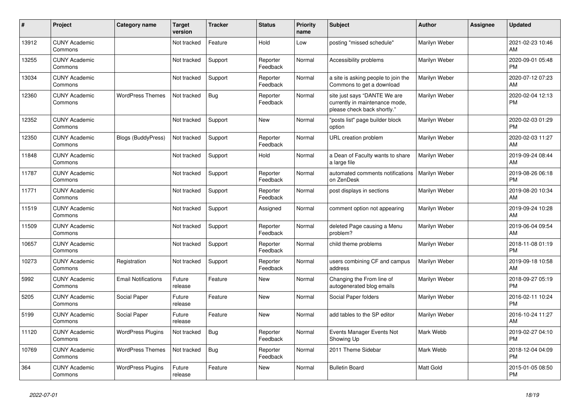| #     | <b>Project</b>                  | Category name              | <b>Target</b><br>version | <b>Tracker</b> | <b>Status</b>        | <b>Priority</b><br>name | <b>Subject</b>                                                                                | <b>Author</b>    | Assignee | <b>Updated</b>                |
|-------|---------------------------------|----------------------------|--------------------------|----------------|----------------------|-------------------------|-----------------------------------------------------------------------------------------------|------------------|----------|-------------------------------|
| 13912 | <b>CUNY Academic</b><br>Commons |                            | Not tracked              | Feature        | Hold                 | Low                     | posting "missed schedule"                                                                     | Marilyn Weber    |          | 2021-02-23 10:46<br>AM        |
| 13255 | <b>CUNY Academic</b><br>Commons |                            | Not tracked              | Support        | Reporter<br>Feedback | Normal                  | Accessibility problems                                                                        | Marilyn Weber    |          | 2020-09-01 05:48<br><b>PM</b> |
| 13034 | <b>CUNY Academic</b><br>Commons |                            | Not tracked              | Support        | Reporter<br>Feedback | Normal                  | a site is asking people to join the<br>Commons to get a download                              | Marilyn Weber    |          | 2020-07-12 07:23<br>AM        |
| 12360 | <b>CUNY Academic</b><br>Commons | <b>WordPress Themes</b>    | Not tracked              | <b>Bug</b>     | Reporter<br>Feedback | Normal                  | site just says "DANTE We are<br>currently in maintenance mode,<br>please check back shortly." | Marilyn Weber    |          | 2020-02-04 12:13<br><b>PM</b> |
| 12352 | <b>CUNY Academic</b><br>Commons |                            | Not tracked              | Support        | New                  | Normal                  | "posts list" page builder block<br>option                                                     | Marilyn Weber    |          | 2020-02-03 01:29<br><b>PM</b> |
| 12350 | <b>CUNY Academic</b><br>Commons | <b>Blogs (BuddyPress)</b>  | Not tracked              | Support        | Reporter<br>Feedback | Normal                  | URL creation problem                                                                          | Marilyn Weber    |          | 2020-02-03 11:27<br>AM        |
| 11848 | <b>CUNY Academic</b><br>Commons |                            | Not tracked              | Support        | Hold                 | Normal                  | a Dean of Faculty wants to share<br>a large file                                              | Marilyn Weber    |          | 2019-09-24 08:44<br>AM        |
| 11787 | <b>CUNY Academic</b><br>Commons |                            | Not tracked              | Support        | Reporter<br>Feedback | Normal                  | automated comments notifications<br>on ZenDesk                                                | Marilyn Weber    |          | 2019-08-26 06:18<br><b>PM</b> |
| 11771 | <b>CUNY Academic</b><br>Commons |                            | Not tracked              | Support        | Reporter<br>Feedback | Normal                  | post displays in sections                                                                     | Marilyn Weber    |          | 2019-08-20 10:34<br>AM        |
| 11519 | <b>CUNY Academic</b><br>Commons |                            | Not tracked              | Support        | Assigned             | Normal                  | comment option not appearing                                                                  | Marilyn Weber    |          | 2019-09-24 10:28<br>AM        |
| 11509 | <b>CUNY Academic</b><br>Commons |                            | Not tracked              | Support        | Reporter<br>Feedback | Normal                  | deleted Page causing a Menu<br>problem?                                                       | Marilyn Weber    |          | 2019-06-04 09:54<br>AM        |
| 10657 | <b>CUNY Academic</b><br>Commons |                            | Not tracked              | Support        | Reporter<br>Feedback | Normal                  | child theme problems                                                                          | Marilyn Weber    |          | 2018-11-08 01:19<br><b>PM</b> |
| 10273 | <b>CUNY Academic</b><br>Commons | Registration               | Not tracked              | Support        | Reporter<br>Feedback | Normal                  | users combining CF and campus<br>address                                                      | Marilyn Weber    |          | 2019-09-18 10:58<br>AM        |
| 5992  | <b>CUNY Academic</b><br>Commons | <b>Email Notifications</b> | Future<br>release        | Feature        | <b>New</b>           | Normal                  | Changing the From line of<br>autogenerated blog emails                                        | Marilyn Weber    |          | 2018-09-27 05:19<br><b>PM</b> |
| 5205  | <b>CUNY Academic</b><br>Commons | Social Paper               | Future<br>release        | Feature        | <b>New</b>           | Normal                  | Social Paper folders                                                                          | Marilyn Weber    |          | 2016-02-11 10:24<br><b>PM</b> |
| 5199  | <b>CUNY Academic</b><br>Commons | Social Paper               | Future<br>release        | Feature        | <b>New</b>           | Normal                  | add tables to the SP editor                                                                   | Marilyn Weber    |          | 2016-10-24 11:27<br>AM        |
| 11120 | <b>CUNY Academic</b><br>Commons | <b>WordPress Plugins</b>   | Not tracked              | Bug            | Reporter<br>Feedback | Normal                  | Events Manager Events Not<br>Showing Up                                                       | Mark Webb        |          | 2019-02-27 04:10<br><b>PM</b> |
| 10769 | <b>CUNY Academic</b><br>Commons | <b>WordPress Themes</b>    | Not tracked              | Bug            | Reporter<br>Feedback | Normal                  | 2011 Theme Sidebar                                                                            | Mark Webb        |          | 2018-12-04 04:09<br><b>PM</b> |
| 364   | <b>CUNY Academic</b><br>Commons | <b>WordPress Plugins</b>   | Future<br>release        | Feature        | <b>New</b>           | Normal                  | <b>Bulletin Board</b>                                                                         | <b>Matt Gold</b> |          | 2015-01-05 08:50<br><b>PM</b> |